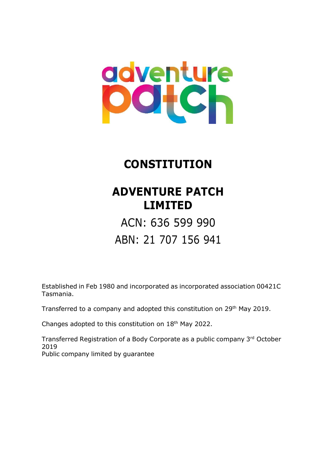# adventure **Dotch**

# **CONSTITUTION**

# **ADVENTURE PATCH LIMITED**

ACN: 636 599 990 ABN: 21 707 156 941

Established in Feb 1980 and incorporated as incorporated association 00421C Tasmania.

Transferred to a company and adopted this constitution on 29<sup>th</sup> May 2019.

Changes adopted to this constitution on 18th May 2022.

Transferred Registration of a Body Corporate as a public company 3<sup>rd</sup> October 2019 Public company limited by guarantee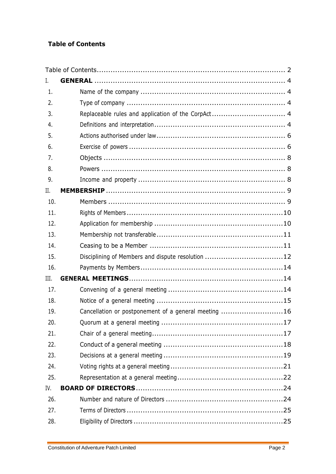# <span id="page-1-0"></span>**Table of Contents**

| I.   |                                                      |
|------|------------------------------------------------------|
| 1.   |                                                      |
| 2.   |                                                      |
| 3.   | Replaceable rules and application of the CorpAct 4   |
| 4.   |                                                      |
| 5.   |                                                      |
| 6.   |                                                      |
| 7.   |                                                      |
| 8.   |                                                      |
| 9.   |                                                      |
| Π.   |                                                      |
| 10.  |                                                      |
| 11.  |                                                      |
| 12.  |                                                      |
| 13.  |                                                      |
| 14.  |                                                      |
| 15.  |                                                      |
| 16.  |                                                      |
| III. |                                                      |
| 17.  |                                                      |
| 18.  |                                                      |
| 19.  | Cancellation or postponement of a general meeting 16 |
| 20.  |                                                      |
| 21.  |                                                      |
| 22.  |                                                      |
| 23.  |                                                      |
| 24.  |                                                      |
| 25.  |                                                      |
| IV.  |                                                      |
| 26.  |                                                      |
| 27.  |                                                      |
| 28.  |                                                      |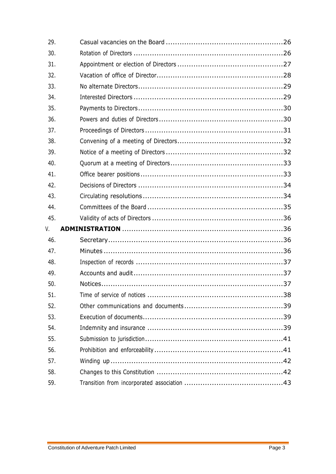| 29. |  |
|-----|--|
| 30. |  |
| 31. |  |
| 32. |  |
| 33. |  |
| 34. |  |
| 35. |  |
| 36. |  |
| 37. |  |
| 38. |  |
| 39. |  |
| 40. |  |
| 41. |  |
| 42. |  |
| 43. |  |
|     |  |
| 44. |  |
| 45. |  |
| V.  |  |
| 46. |  |
| 47. |  |
| 48. |  |
| 49. |  |
| 50. |  |
| 51. |  |
| 52. |  |
| 53. |  |
| 54. |  |
| 55. |  |
| 56. |  |
| 57. |  |
| 58. |  |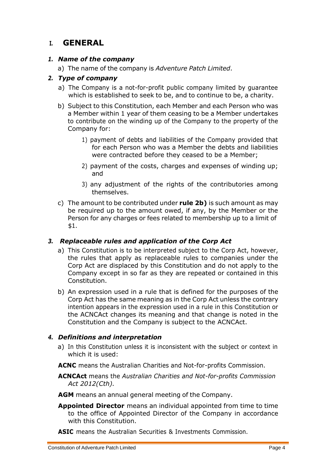# <span id="page-3-0"></span>**I. GENERAL**

# <span id="page-3-1"></span>*1. Name of the company*

a) The name of the company is *Adventure Patch Limited*.

# <span id="page-3-2"></span>*2. Type of company*

- a) The Company is a not-for-profit public company limited by guarantee which is established to seek to be, and to continue to be, a charity.
- <span id="page-3-5"></span>b) Subject to this Constitution, each Member and each Person who was a Member within 1 year of them ceasing to be a Member undertakes to contribute on the winding up of the Company to the property of the Company for:
	- 1) payment of debts and liabilities of the Company provided that for each Person who was a Member the debts and liabilities were contracted before they ceased to be a Member;
	- 2) payment of the costs, charges and expenses of winding up; and
	- 3) any adjustment of the rights of the contributories among themselves.
- c) The amount to be contributed under **rule [2b\)](#page-3-5)** is such amount as may be required up to the amount owed, if any, by the Member or the Person for any charges or fees related to membership up to a limit of \$1.

# <span id="page-3-3"></span>*3. Replaceable rules and application of the Corp Act*

- a) This Constitution is to be interpreted subject to the Corp Act, however, the rules that apply as replaceable rules to companies under the Corp Act are displaced by this Constitution and do not apply to the Company except in so far as they are repeated or contained in this Constitution.
- b) An expression used in a rule that is defined for the purposes of the Corp Act has the same meaning as in the Corp Act unless the contrary intention appears in the expression used in a rule in this Constitution or the ACNCAct changes its meaning and that change is noted in the Constitution and the Company is subject to the ACNCAct.

# <span id="page-3-4"></span>*4. Definitions and interpretation*

a) In this Constitution unless it is inconsistent with the subject or context in which it is used:

**ACNC** means the Australian Charities and Not-for-profits Commission.

**ACNCAct** means the *Australian Charities and Not-for-profits Commission Act 2012(Cth).*

**AGM** means an annual general meeting of the Company.

- **Appointed Director** means an individual appointed from time to time to the office of Appointed Director of the Company in accordance with this Constitution.
- **ASIC** means the Australian Securities & Investments Commission.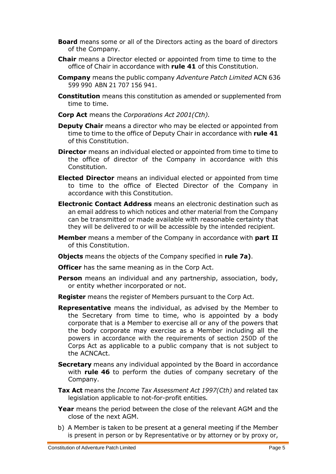- **Board** means some or all of the Directors acting as the board of directors of the Company.
- **Chair** means a Director elected or appointed from time to time to the office of Chair in accordance with **rule 41** of this Constitution.
- **Company** means the public company *Adventure Patch Limited* ACN 636 599 990 ABN 21 707 156 941.
- **Constitution** means this constitution as amended or supplemented from time to time.
- **Corp Act** means the *Corporations Act 2001(Cth).*
- **Deputy Chair** means a director who may be elected or appointed from time to time to the office of Deputy Chair in accordance with **rule 41** of this Constitution.
- **Director** means an individual elected or appointed from time to time to the office of director of the Company in accordance with this Constitution.
- **Elected Director** means an individual elected or appointed from time to time to the office of Elected Director of the Company in accordance with this Constitution.
- **Electronic Contact Address** means an electronic destination such as an email address to which notices and other material from the Company can be transmitted or made available with reasonable certainty that they will be delivered to or will be accessible by the intended recipient.
- **Member** means a member of the Company in accordance with **part II** of this Constitution.
- **Objects** means the objects of the Company specified in **rule [7a\)](#page-7-3)**.
- **Officer** has the same meaning as in the Corp Act.
- **Person** means an individual and any partnership, association, body, or entity whether incorporated or not.
- **Register** means the register of Members pursuant to the Corp Act.
- **Representative** means the individual, as advised by the Member to the Secretary from time to time, who is appointed by a body corporate that is a Member to exercise all or any of the powers that the body corporate may exercise as a Member including all the powers in accordance with the requirements of section 250D of the Corps Act as applicable to a public company that is not subject to the ACNCAct.
- **Secretary** means any individual appointed by the Board in accordance with **rule 46** to perform the duties of company secretary of the Company.
- **Tax Act** means the *Income Tax Assessment Act 1997(Cth)* and related tax legislation applicable to not-for-profit entities*.*
- **Year** means the period between the close of the relevant AGM and the close of the next AGM.
- <span id="page-4-0"></span>b) A Member is taken to be present at a general meeting if the Member is present in person or by Representative or by attorney or by proxy or,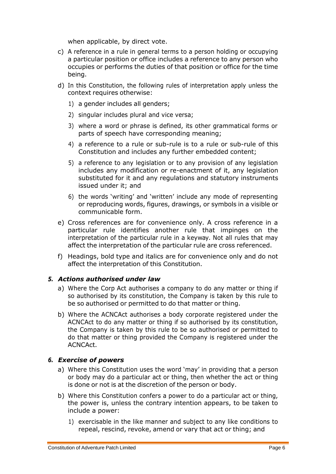when applicable, by direct vote.

- c) A reference in a rule in general terms to a person holding or occupying a particular position or office includes a reference to any person who occupies or performs the duties of that position or office for the time being.
- <span id="page-5-2"></span>d) In this Constitution, the following rules of interpretation apply unless the context requires otherwise:
	- 1) a gender includes all genders;
	- 2) singular includes plural and vice versa;
	- 3) where a word or phrase is defined, its other grammatical forms or parts of speech have corresponding meaning;
	- 4) a reference to a rule or sub-rule is to a rule or sub-rule of this Constitution and includes any further embedded content;
	- 5) a reference to any legislation or to any provision of any legislation includes any modification or re-enactment of it, any legislation substituted for it and any regulations and statutory instruments issued under it; and
	- 6) the words 'writing' and 'written' include any mode of representing or reproducing words, figures, drawings, or symbols in a visible or communicable form.
- <span id="page-5-3"></span>e) Cross references are for convenience only. A cross reference in a particular rule identifies another rule that impinges on the interpretation of the particular rule in a keyway. Not all rules that may affect the interpretation of the particular rule are cross referenced.
- f) Headings, bold type and italics are for convenience only and do not affect the interpretation of this Constitution.

# <span id="page-5-0"></span>*5. Actions authorised under law*

- a) Where the Corp Act authorises a company to do any matter or thing if so authorised by its constitution, the Company is taken by this rule to be so authorised or permitted to do that matter or thing.
- b) Where the ACNCAct authorises a body corporate registered under the ACNCAct to do any matter or thing if so authorised by its constitution, the Company is taken by this rule to be so authorised or permitted to do that matter or thing provided the Company is registered under the ACNCAct.

# <span id="page-5-1"></span>*6. Exercise of powers*

- a) Where this Constitution uses the word 'may' in providing that a person or body may do a particular act or thing, then whether the act or thing is done or not is at the discretion of the person or body.
- b) Where this Constitution confers a power to do a particular act or thing, the power is, unless the contrary intention appears, to be taken to include a power:
	- 1) exercisable in the like manner and subject to any like conditions to repeal, rescind, revoke, amend or vary that act or thing; and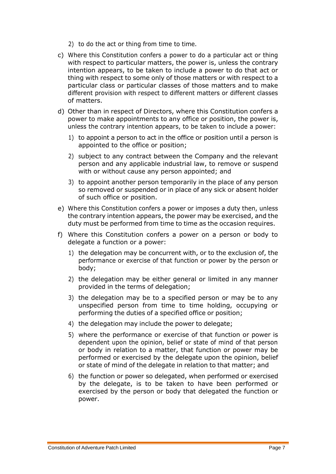- 2) to do the act or thing from time to time.
- c) Where this Constitution confers a power to do a particular act or thing with respect to particular matters, the power is, unless the contrary intention appears, to be taken to include a power to do that act or thing with respect to some only of those matters or with respect to a particular class or particular classes of those matters and to make different provision with respect to different matters or different classes of matters.
- d) Other than in respect of Directors, where this Constitution confers a power to make appointments to any office or position, the power is, unless the contrary intention appears, to be taken to include a power:
	- 1) to appoint a person to act in the office or position until a person is appointed to the office or position;
	- 2) subject to any contract between the Company and the relevant person and any applicable industrial law, to remove or suspend with or without cause any person appointed; and
	- 3) to appoint another person temporarily in the place of any person so removed or suspended or in place of any sick or absent holder of such office or position.
- e) Where this Constitution confers a power or imposes a duty then, unless the contrary intention appears, the power may be exercised, and the duty must be performed from time to time as the occasion requires.
- f) Where this Constitution confers a power on a person or body to delegate a function or a power:
	- 1) the delegation may be concurrent with, or to the exclusion of, the performance or exercise of that function or power by the person or body;
	- 2) the delegation may be either general or limited in any manner provided in the terms of delegation;
	- 3) the delegation may be to a specified person or may be to any unspecified person from time to time holding, occupying or performing the duties of a specified office or position;
	- 4) the delegation may include the power to delegate;
	- 5) where the performance or exercise of that function or power is dependent upon the opinion, belief or state of mind of that person or body in relation to a matter, that function or power may be performed or exercised by the delegate upon the opinion, belief or state of mind of the delegate in relation to that matter; and
	- 6) the function or power so delegated, when performed or exercised by the delegate, is to be taken to have been performed or exercised by the person or body that delegated the function or power.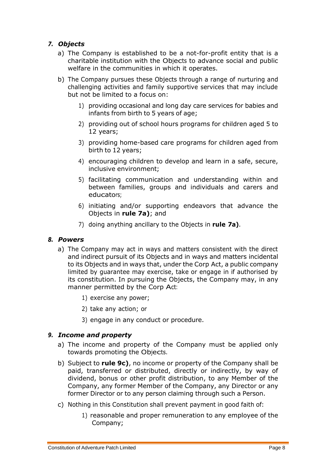# <span id="page-7-3"></span><span id="page-7-0"></span>*7. Objects*

- a) The Company is established to be a not-for-profit entity that is a charitable institution with the Objects to advance social and public welfare in the communities in which it operates.
- b) The Company pursues these Objects through a range of nurturing and challenging activities and family supportive services that may include but not be limited to a focus on:
	- 1) providing occasional and long day care services for babies and infants from birth to 5 years of age;
	- 2) providing out of school hours programs for children aged 5 to 12 years;
	- 3) providing home-based care programs for children aged from birth to 12 years;
	- 4) encouraging children to develop and learn in a safe, secure, inclusive environment;
	- 5) facilitating communication and understanding within and between families, groups and individuals and carers and educators;
	- 6) initiating and/or supporting endeavors that advance the Objects in **rule [7a\)](#page-7-3)**; and
	- 7) doing anything ancillary to the Objects in **rule [7a\)](#page-7-3)**.

# <span id="page-7-1"></span>*8. Powers*

- a) The Company may act in ways and matters consistent with the direct and indirect pursuit of its Objects and in ways and matters incidental to its Objects and in ways that, under the Corp Act, a public company limited by guarantee may exercise, take or engage in if authorised by its constitution. In pursuing the Objects, the Company may, in any manner permitted by the Corp Act:
	- 1) exercise any power;
	- 2) take any action; or
	- 3) engage in any conduct or procedure.

# <span id="page-7-2"></span>*9. Income and property*

- a) The income and property of the Company must be applied only towards promoting the Objects.
- <span id="page-7-5"></span>b) Subject to **rule [9c\)](#page-7-4)**, no income or property of the Company shall be paid, transferred or distributed, directly or indirectly, by way of dividend, bonus or other profit distribution, to any Member of the Company, any former Member of the Company, any Director or any former Director or to any person claiming through such a Person.
- <span id="page-7-4"></span>c) Nothing in this Constitution shall prevent payment in good faith of:
	- 1) reasonable and proper remuneration to any employee of the Company;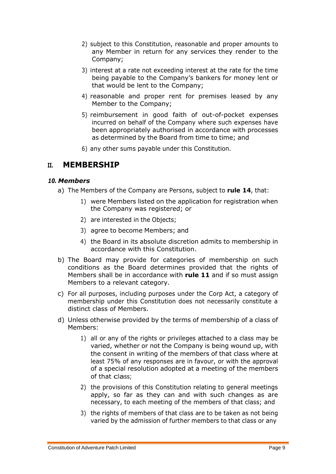- 2) subject to this Constitution, reasonable and proper amounts to any Member in return for any services they render to the Company;
- 3) interest at a rate not exceeding interest at the rate for the time being payable to the Company's bankers for money lent or that would be lent to the Company;
- 4) reasonable and proper rent for premises leased by any Member to the Company;
- 5) reimbursement in good faith of out-of-pocket expenses incurred on behalf of the Company where such expenses have been appropriately authorised in accordance with processes as determined by the Board from time to time; and
- 6) any other sums payable under this Constitution.

# <span id="page-8-0"></span>**II. MEMBERSHIP**

# <span id="page-8-2"></span><span id="page-8-1"></span>*10. Members*

- a) The Members of the Company are Persons, subject to **rule 14**, that:
	- 1) were Members listed on the application for registration when the Company was registered; or
	- 2) are interested in the Objects;
	- 3) agree to become Members; and
	- 4) the Board in its absolute discretion admits to membership in accordance with this Constitution.
- b) The Board may provide for categories of membership on such conditions as the Board determines provided that the rights of Members shall be in accordance with **rule 11** and if so must assign Members to a relevant category.
- c) For all purposes, including purposes under the Corp Act, a category of membership under this Constitution does not necessarily constitute a distinct class of Members.
- d) Unless otherwise provided by the terms of membership of a class of Members:
	- 1) all or any of the rights or privileges attached to a class may be varied, whether or not the Company is being wound up, with the consent in writing of the members of that class where at least 75% of any responses are in favour, or with the approval of a special resolution adopted at a meeting of the members of that class;
	- 2) the provisions of this Constitution relating to general meetings apply, so far as they can and with such changes as are necessary, to each meeting of the members of that class; and
	- 3) the rights of members of that class are to be taken as not being varied by the admission of further members to that class or any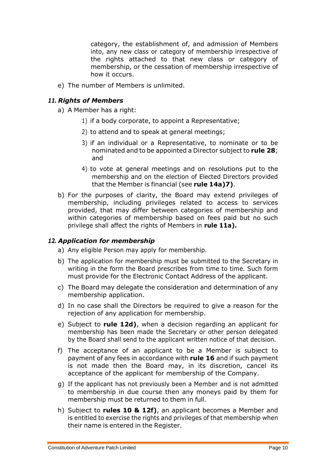category, the establishment of, and admission of Members into, any new class or category of membership irrespective of the rights attached to that new class or category of membership, or the cessation of membership irrespective of how it occurs.

e) The number of Members is unlimited.

# <span id="page-9-2"></span><span id="page-9-0"></span>*11. Rights of Members*

a) A Member has a right:

- 1) if a body corporate, to appoint a Representative;
- 2) to attend and to speak at general meetings;
- 3) if an individual or a Representative, to nominate or to be nominated and to be appointed a Director subject to **rule 28**; and
- 4) to vote at general meetings and on resolutions put to the membership and on the election of Elected Directors provided that the Member is financial (see **rule 1[4a\)](#page-10-2)[7\)](#page-10-3)**.
- b) For the purposes of clarity, the Board may extend privileges of membership, including privileges related to access to services provided, that may differ between categories of membership and within categories of membership based on fees paid but no such privilege shall affect the rights of Members in **rule 1[1a\).](#page-9-2)**

# <span id="page-9-1"></span>*12. Application for membership*

- a) Any eligible Person may apply for membership.
- b) The application for membership must be submitted to the Secretary in writing in the form the Board prescribes from time to time. Such form must provide for the Electronic Contact Address of the applicant.
- c) The Board may delegate the consideration and determination of any membership application.
- <span id="page-9-3"></span>d) In no case shall the Directors be required to give a reason for the rejection of any application for membership.
- e) Subject to **rule 1[2d\)](#page-9-3)**, when a decision regarding an applicant for membership has been made the Secretary or other person delegated by the Board shall send to the applicant written notice of that decision.
- <span id="page-9-4"></span>f) The acceptance of an applicant to be a Member is subject to payment of any fees in accordance with **rule 16** and if such payment is not made then the Board may, in its discretion, cancel its acceptance of the applicant for membership of the Company.
- g) If the applicant has not previously been a Member and is not admitted to membership in due course then any moneys paid by them for membership must be returned to them in full.
- h) Subject to **rules 10 & 1[2f\)](#page-9-4)**, an applicant becomes a Member and is entitled to exercise the rights and privileges of that membership when their name is entered in the Register.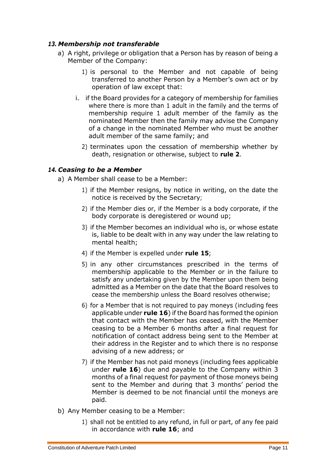# <span id="page-10-0"></span>*13. Membership not transferable*

- a) A right, privilege or obligation that a Person has by reason of being a Member of the Company:
	- 1) is personal to the Member and not capable of being transferred to another Person by a Member's own act or by operation of law except that:
	- i. if the Board provides for a category of membership for families where there is more than 1 adult in the family and the terms of membership require 1 adult member of the family as the nominated Member then the family may advise the Company of a change in the nominated Member who must be another adult member of the same family; and
		- 2) terminates upon the cessation of membership whether by death, resignation or otherwise, subject to **rule 2**.

# <span id="page-10-2"></span><span id="page-10-1"></span>*14. Ceasing to be a Member*

a) A Member shall cease to be a Member:

- 1) if the Member resigns, by notice in writing, on the date the notice is received by the Secretary;
- 2) if the Member dies or, if the Member is a body corporate, if the body corporate is deregistered or wound up;
- 3) if the Member becomes an individual who is, or whose estate is, liable to be dealt with in any way under the law relating to mental health;
- 4) if the Member is expelled under **rule 15**;
- <span id="page-10-4"></span>5) in any other circumstances prescribed in the terms of membership applicable to the Member or in the failure to satisfy any undertaking given by the Member upon them being admitted as a Member on the date that the Board resolves to cease the membership unless the Board resolves otherwise;
- <span id="page-10-5"></span>6) for a Member that is not required to pay moneys (including fees applicable under **rule 16**) if the Board has formed the opinion that contact with the Member has ceased, with the Member ceasing to be a Member 6 months after a final request for notification of contact address being sent to the Member at their address in the Register and to which there is no response advising of a new address; or
- <span id="page-10-3"></span>7) if the Member has not paid moneys (including fees applicable under **rule 16**) due and payable to the Company within 3 months of a final request for payment of those moneys being sent to the Member and during that 3 months' period the Member is deemed to be not financial until the moneys are paid.
- b) Any Member ceasing to be a Member:
	- 1) shall not be entitled to any refund, in full or part, of any fee paid in accordance with **rule 16**; and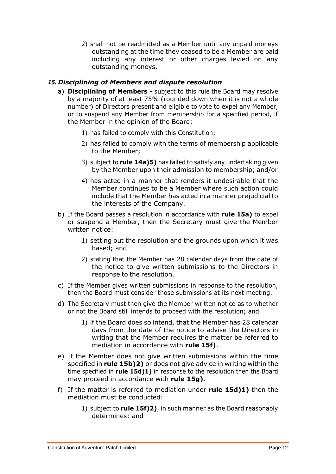2) shall not be readmitted as a Member until any unpaid moneys outstanding at the time they ceased to be a Member are paid including any interest or other charges levied on any outstanding moneys.

# <span id="page-11-1"></span><span id="page-11-0"></span>*15. Disciplining of Members and dispute resolution*

- a) **Disciplining of Members**  subject to this rule the Board may resolve by a majority of at least 75% (rounded down when it is not a whole number) of Directors present and eligible to vote to expel any Member, or to suspend any Member from membership for a specified period, if the Member in the opinion of the Board:
	- 1) has failed to comply with this Constitution;
	- 2) has failed to comply with the terms of membership applicable to the Member;
	- 3) subject to **rule 1[4a\)](#page-10-2)[5\)](#page-10-4)** has failed to satisfy any undertaking given by the Member upon their admission to membership; and/or
	- 4) has acted in a manner that renders it undesirable that the Member continues to be a Member where such action could include that the Member has acted in a manner prejudicial to the interests of the Company.
- <span id="page-11-3"></span>b) If the Board passes a resolution in accordance with **rule 1[5a\)](#page-11-1)** to expel or suspend a Member, then the Secretary must give the Member written notice:
	- 1) setting out the resolution and the grounds upon which it was based; and
	- 2) stating that the Member has 28 calendar days from the date of the notice to give written submissions to the Directors in response to the resolution.
- <span id="page-11-4"></span>c) If the Member gives written submissions in response to the resolution, then the Board must consider those submissions at its next meeting.
- <span id="page-11-6"></span><span id="page-11-5"></span>d) The Secretary must then give the Member written notice as to whether or not the Board still intends to proceed with the resolution; and
	- 1) if the Board does so intend, that the Member has 28 calendar days from the date of the notice to advise the Directors in writing that the Member requires the matter be referred to mediation in accordance with **rule 1[5f\)](#page-11-2)**.
- e) If the Member does not give written submissions within the time specified in **rule 1[5b\)](#page-11-3)[2\)](#page-11-4)** or does not give advice in writing within the time specified in **rule 1[5d\)](#page-11-5)[1\)](#page-11-6)** in response to the resolution then the Board may proceed in accordance with **rule 1[5g\)](#page-12-0)**.
- <span id="page-11-2"></span>f) If the matter is referred to mediation under **rule 1[5d\)](#page-11-5)[1\)](#page-11-6)** then the mediation must be conducted:
	- 1) subject to **rule 1[5f\)](#page-11-2)[2\)](#page-12-1)**, in such manner as the Board reasonably determines; and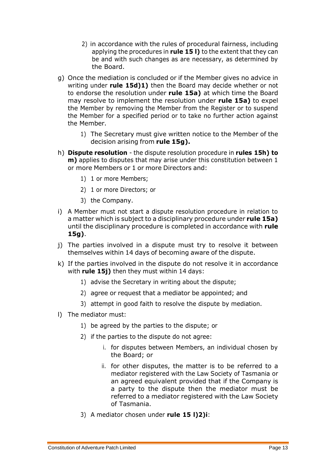- 2) in accordance with the rules of procedural fairness, including applying the procedures in **rule 15 [l\)](#page-12-2)** to the extent that they can be and with such changes as are necessary, as determined by the Board.
- <span id="page-12-1"></span><span id="page-12-0"></span>g) Once the mediation is concluded or if the Member gives no advice in writing under **rule 1[5d\)](#page-11-5)[1\)](#page-11-6)** then the Board may decide whether or not to endorse the resolution under **rule 1[5a\)](#page-11-1)** at which time the Board may resolve to implement the resolution under **rule 1[5a\)](#page-11-1)** to expel the Member by removing the Member from the Register or to suspend the Member for a specified period or to take no further action against the Member.
	- 1) The Secretary must give written notice to the Member of the decision arising from **rule 1[5g\).](#page-12-0)**
- <span id="page-12-3"></span>h) **Dispute resolution** - the dispute resolution procedure in **rules 1[5h\)](#page-12-3) to [m\)](#page-13-3)** applies to disputes that may arise under this constitution between 1 or more Members or 1 or more Directors and:
	- 1) 1 or more Members;
	- 2) 1 or more Directors; or
	- 3) the Company.
- i) A Member must not start a dispute resolution procedure in relation to a matter which is subject to a disciplinary procedure under **rule 1[5a\)](#page-11-1)** until the disciplinary procedure is completed in accordance with **rule 1[5g\)](#page-12-0)**.
- <span id="page-12-4"></span>j) The parties involved in a dispute must try to resolve it between themselves within 14 days of becoming aware of the dispute.
- k) If the parties involved in the dispute do not resolve it in accordance with **rule 1[5j\)](#page-12-4)** then they must within 14 days:
	- 1) advise the Secretary in writing about the dispute;
	- 2) agree or request that a mediator be appointed; and
	- 3) attempt in good faith to resolve the dispute by mediation.
- <span id="page-12-5"></span><span id="page-12-2"></span>l) The mediator must:
	- 1) be agreed by the parties to the dispute; or
	- 2) if the parties to the dispute do not agree:
		- i. for disputes between Members, an individual chosen by the Board; or
		- ii. for other disputes, the matter is to be referred to a mediator registered with the Law Society of Tasmania or an agreed equivalent provided that if the Company is a party to the dispute then the mediator must be referred to a mediator registered with the Law Society of Tasmania.
	- 3) A mediator chosen under **rule 15 [l\)2\)i](#page-12-5)**: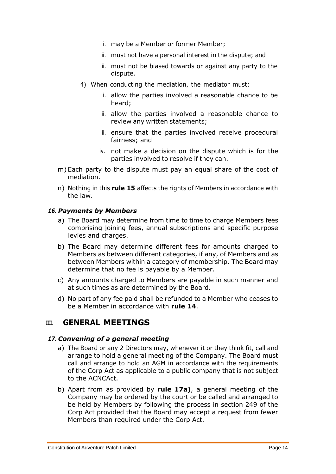- i. may be a Member or former Member;
- ii. must not have a personal interest in the dispute; and
- iii. must not be biased towards or against any party to the dispute.
- 4) When conducting the mediation, the mediator must:
	- i. allow the parties involved a reasonable chance to be heard;
	- ii. allow the parties involved a reasonable chance to review any written statements;
	- iii. ensure that the parties involved receive procedural fairness; and
	- iv. not make a decision on the dispute which is for the parties involved to resolve if they can.
- <span id="page-13-3"></span>m) Each party to the dispute must pay an equal share of the cost of mediation.
- n) Nothing in this **rule 15** affects the rights of Members in accordance with the law.

# <span id="page-13-0"></span>*16. Payments by Members*

- a) The Board may determine from time to time to charge Members fees comprising joining fees, annual subscriptions and specific purpose levies and charges.
- b) The Board may determine different fees for amounts charged to Members as between different categories, if any, of Members and as between Members within a category of membership. The Board may determine that no fee is payable by a Member.
- c) Any amounts charged to Members are payable in such manner and at such times as are determined by the Board.
- d) No part of any fee paid shall be refunded to a Member who ceases to be a Member in accordance with **rule 14**.

# <span id="page-13-1"></span>**III. GENERAL MEETINGS**

# <span id="page-13-4"></span><span id="page-13-2"></span>*17. Convening of a general meeting*

- a) The Board or any 2 Directors may, whenever it or they think fit, call and arrange to hold a general meeting of the Company. The Board must call and arrange to hold an AGM in accordance with the requirements of the Corp Act as applicable to a public company that is not subject to the ACNCAct.
- <span id="page-13-5"></span>b) Apart from as provided by **rule 1[7a\)](#page-13-4)**, a general meeting of the Company may be ordered by the court or be called and arranged to be held by Members by following the process in section 249 of the Corp Act provided that the Board may accept a request from fewer Members than required under the Corp Act.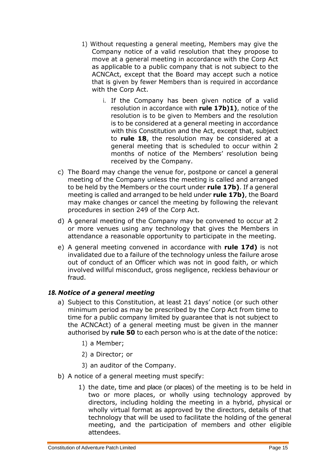- <span id="page-14-1"></span>1) Without requesting a general meeting, Members may give the Company notice of a valid resolution that they propose to move at a general meeting in accordance with the Corp Act as applicable to a public company that is not subject to the ACNCAct, except that the Board may accept such a notice that is given by fewer Members than is required in accordance with the Corp Act.
	- i. If the Company has been given notice of a valid resolution in accordance with **rule 1[7b\)](#page-13-5)[1\)](#page-14-1)**, notice of the resolution is to be given to Members and the resolution is to be considered at a general meeting in accordance with this Constitution and the Act, except that, subject to **rule 18**, the resolution may be considered at a general meeting that is scheduled to occur within 2 months of notice of the Members' resolution being received by the Company.
- <span id="page-14-4"></span>c) The Board may change the venue for, postpone or cancel a general meeting of the Company unless the meeting is called and arranged to be held by the Members or the court under **rule 1[7b\)](#page-13-5)**. If a general meeting is called and arranged to be held under **rule 1[7b\)](#page-13-5)**, the Board may make changes or cancel the meeting by following the relevant procedures in section 249 of the Corp Act.
- <span id="page-14-2"></span>d) A general meeting of the Company may be convened to occur at 2 or more venues using any technology that gives the Members in attendance a reasonable opportunity to participate in the meeting.
- e) A general meeting convened in accordance with **rule 1[7d\)](#page-14-2)** is not invalidated due to a failure of the technology unless the failure arose out of conduct of an Officer which was not in good faith, or which involved willful misconduct, gross negligence, reckless behaviour or fraud.

# <span id="page-14-3"></span><span id="page-14-0"></span>*18. Notice of a general meeting*

- a) Subject to this Constitution, at least 21 days' notice (or such other minimum period as may be prescribed by the Corp Act from time to time for a public company limited by guarantee that is not subject to the ACNCAct) of a general meeting must be given in the manner authorised by **rule 50** to each person who is at the date of the notice:
	- 1) a Member;
	- 2) a Director; or
	- 3) an auditor of the Company.
- b) A notice of a general meeting must specify:
	- 1) the date, time and place (or places) of the meeting is to be held in two or more places, or wholly using technology approved by directors, including holding the meeting in a hybrid, physical or wholly virtual format as approved by the directors, details of that technology that will be used to facilitate the holding of the general meeting, and the participation of members and other eligible attendees.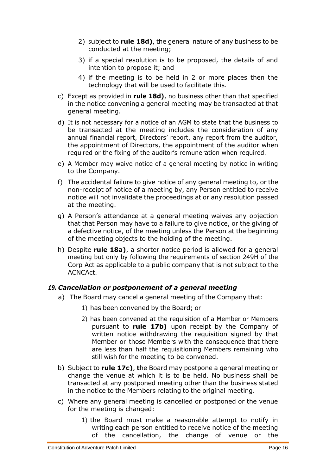- 2) subject to **rule 1[8d\)](#page-15-1)**, the general nature of any business to be conducted at the meeting;
- 3) if a special resolution is to be proposed, the details of and intention to propose it; and
- 4) if the meeting is to be held in 2 or more places then the technology that will be used to facilitate this.
- c) Except as provided in **rule 1[8d\)](#page-15-1)**, no business other than that specified in the notice convening a general meeting may be transacted at that general meeting.
- <span id="page-15-1"></span>d) It is not necessary for a notice of an AGM to state that the business to be transacted at the meeting includes the consideration of any annual financial report, Directors' report, any report from the auditor, the appointment of Directors, the appointment of the auditor when required or the fixing of the auditor's remuneration when required.
- e) A Member may waive notice of a general meeting by notice in writing to the Company.
- f) The accidental failure to give notice of any general meeting to, or the non-receipt of notice of a meeting by, any Person entitled to receive notice will not invalidate the proceedings at or any resolution passed at the meeting.
- g) A Person's attendance at a general meeting waives any objection that that Person may have to a failure to give notice, or the giving of a defective notice, of the meeting unless the Person at the beginning of the meeting objects to the holding of the meeting.
- h) Despite **rule 1[8a\)](#page-14-3)**, a shorter notice period is allowed for a general meeting but only by following the requirements of section 249H of the Corp Act as applicable to a public company that is not subject to the ACNCAct.

# <span id="page-15-0"></span>*19. Cancellation or postponement of a general meeting*

- a) The Board may cancel a general meeting of the Company that:
	- 1) has been convened by the Board; or
	- 2) has been convened at the requisition of a Member or Members pursuant to **rule 1[7b\)](#page-13-5)** upon receipt by the Company of written notice withdrawing the requisition signed by that Member or those Members with the consequence that there are less than half the requisitioning Members remaining who still wish for the meeting to be convened.
- b) Subject to **rule 1[7c\)](#page-14-4)**, **t**he Board may postpone a general meeting or change the venue at which it is to be held. No business shall be transacted at any postponed meeting other than the business stated in the notice to the Members relating to the original meeting.
- <span id="page-15-2"></span>c) Where any general meeting is cancelled or postponed or the venue for the meeting is changed:
	- 1) the Board must make a reasonable attempt to notify in writing each person entitled to receive notice of the meeting of the cancellation, the change of venue or the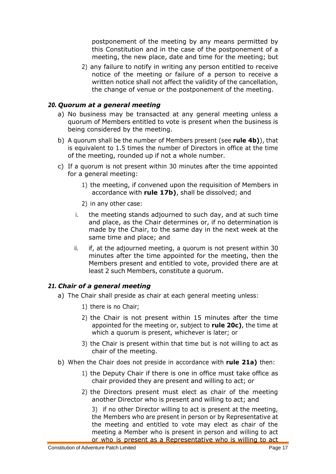postponement of the meeting by any means permitted by this Constitution and in the case of the postponement of a meeting, the new place, date and time for the meeting; but

2) any failure to notify in writing any person entitled to receive notice of the meeting or failure of a person to receive a written notice shall not affect the validity of the cancellation, the change of venue or the postponement of the meeting.

# <span id="page-16-0"></span>*20. Quorum at a general meeting*

- a) No business may be transacted at any general meeting unless a quorum of Members entitled to vote is present when the business is being considered by the meeting.
- b) A quorum shall be the number of Members present (see **rule [4b\)](#page-4-0)**), that is equivalent to 1.5 times the number of Directors in office at the time of the meeting, rounded up if not a whole number.
- <span id="page-16-2"></span>c) If a quorum is not present within 30 minutes after the time appointed for a general meeting:
	- 1) the meeting, if convened upon the requisition of Members in accordance with **rule 1[7b\)](#page-13-5)**, shall be dissolved; and
	- 2) in any other case:
	- i. the meeting stands adjourned to such day, and at such time and place, as the Chair determines or, if no determination is made by the Chair, to the same day in the next week at the same time and place; and
	- ii. if, at the adjourned meeting, a quorum is not present within 30 minutes after the time appointed for the meeting, then the Members present and entitled to vote, provided there are at least 2 such Members, constitute a quorum.

# <span id="page-16-3"></span><span id="page-16-1"></span>*21. Chair of a general meeting*

- a) The Chair shall preside as chair at each general meeting unless:
	- 1) there is no Chair;
	- 2) the Chair is not present within 15 minutes after the time appointed for the meeting or, subject to **rule 2[0c\)](#page-16-2)**, the time at which a quorum is present, whichever is later; or
	- 3) the Chair is present within that time but is not willing to act as chair of the meeting.
- <span id="page-16-6"></span><span id="page-16-5"></span><span id="page-16-4"></span>b) When the Chair does not preside in accordance with **rule 2[1a\)](#page-16-3)** then:
	- 1) the Deputy Chair if there is one in office must take office as chair provided they are present and willing to act; or
	- 2) the Directors present must elect as chair of the meeting another Director who is present and willing to act; and

3) if no other Director willing to act is present at the meeting, the Members who are present in person or by Representative at the meeting and entitled to vote may elect as chair of the meeting a Member who is present in person and willing to act or who is present as a Representative who is willing to act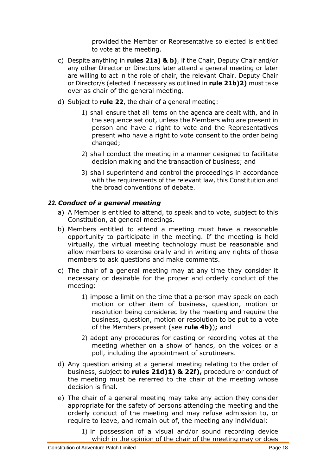provided the Member or Representative so elected is entitled to vote at the meeting.

- c) Despite anything in **rules 2[1a\)](#page-16-3) & [b\)](#page-16-4)**, if the Chair, Deputy Chair and/or any other Director or Directors later attend a general meeting or later are willing to act in the role of chair, the relevant Chair, Deputy Chair or Director/s (elected if necessary as outlined in **rule 2[1b\)](#page-16-4)[2\)](#page-16-5)** must take over as chair of the general meeting.
- <span id="page-17-2"></span><span id="page-17-1"></span>d) Subject to **rule 22**, the chair of a general meeting:
	- 1) shall ensure that all items on the agenda are dealt with, and in the sequence set out, unless the Members who are present in person and have a right to vote and the Representatives present who have a right to vote consent to the order being changed;
	- 2) shall conduct the meeting in a manner designed to facilitate decision making and the transaction of business; and
	- 3) shall superintend and control the proceedings in accordance with the requirements of the relevant law, this Constitution and the broad conventions of debate.

# <span id="page-17-0"></span>*22. Conduct of a general meeting*

- a) A Member is entitled to attend, to speak and to vote, subject to this Constitution, at general meetings.
- b) Members entitled to attend a meeting must have a reasonable opportunity to participate in the meeting. If the meeting is held virtually, the virtual meeting technology must be reasonable and allow members to exercise orally and in writing any rights of those members to ask questions and make comments.
- c) The chair of a general meeting may at any time they consider it necessary or desirable for the proper and orderly conduct of the meeting:
	- 1) impose a limit on the time that a person may speak on each motion or other item of business, question, motion or resolution being considered by the meeting and require the business, question, motion or resolution to be put to a vote of the Members present (see **rule [4b\)](#page-4-0)**)**;** and
	- 2) adopt any procedures for casting or recording votes at the meeting whether on a show of hands, on the voices or a poll, including the appointment of scrutineers.
- <span id="page-17-4"></span>d) Any question arising at a general meeting relating to the order of business, subject to **rules 2[1d\)](#page-17-1)[1\)](#page-17-2) & 2[2f\),](#page-18-1)** procedure or conduct of the meeting must be referred to the chair of the meeting whose decision is final.
- <span id="page-17-3"></span>e) The chair of a general meeting may take any action they consider appropriate for the safety of persons attending the meeting and the orderly conduct of the meeting and may refuse admission to, or require to leave, and remain out of, the meeting any individual:
	- 1) in possession of a visual and/or sound recording device which in the opinion of the chair of the meeting may or does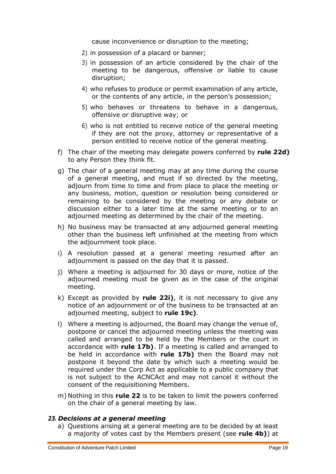cause inconvenience or disruption to the meeting;

- 2) in possession of a placard or banner;
- 3) in possession of an article considered by the chair of the meeting to be dangerous, offensive or liable to cause disruption;
- 4) who refuses to produce or permit examination of any article, or the contents of any article, in the person's possession;
- 5) who behaves or threatens to behave in a dangerous, offensive or disruptive way; or
- 6) who is not entitled to receive notice of the general meeting if they are not the proxy, attorney or representative of a person entitled to receive notice of the general meeting.
- f) The chair of the meeting may delegate powers conferred by **rule 2[2d\)](#page-17-3)** to any Person they think fit.
- <span id="page-18-1"></span>g) The chair of a general meeting may at any time during the course of a general meeting, and must if so directed by the meeting, adjourn from time to time and from place to place the meeting or any business, motion, question or resolution being considered or remaining to be considered by the meeting or any debate or discussion either to a later time at the same meeting or to an adjourned meeting as determined by the chair of the meeting.
- h) No business may be transacted at any adjourned general meeting other than the business left unfinished at the meeting from which the adjournment took place.
- i) A resolution passed at a general meeting resumed after an adjournment is passed on the day that it is passed.
- <span id="page-18-2"></span>j) Where a meeting is adjourned for 30 days or more, notice of the adjourned meeting must be given as in the case of the original meeting.
- k) Except as provided by **rule 2[2i\)](#page-18-2)**, it is not necessary to give any notice of an adjournment or of the business to be transacted at an adjourned meeting, subject to **rule 1[9c\)](#page-15-2)**.
- l) Where a meeting is adjourned, the Board may change the venue of, postpone or cancel the adjourned meeting unless the meeting was called and arranged to be held by the Members or the court in accordance with **rule 1[7b\)](#page-13-5)**. If a meeting is called and arranged to be held in accordance with **rule 1[7b\)](#page-13-5)** then the Board may not postpone it beyond the date by which such a meeting would be required under the Corp Act as applicable to a public company that is not subject to the ACNCAct and may not cancel it without the consent of the requisitioning Members.
- m) Nothing in this **rule 22** is to be taken to limit the powers conferred on the chair of a general meeting by law.

# <span id="page-18-0"></span>*23. Decisions at a general meeting*

a) Questions arising at a general meeting are to be decided by at least a majority of votes cast by the Members present (see **rule [4b\)](#page-4-0)**) at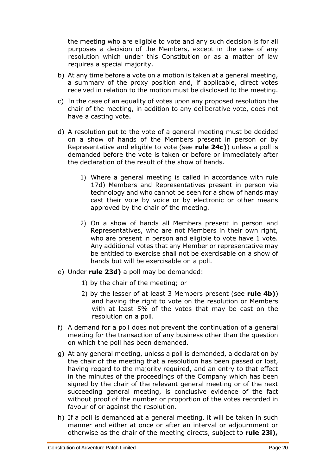the meeting who are eligible to vote and any such decision is for all purposes a decision of the Members, except in the case of any resolution which under this Constitution or as a matter of law requires a special majority.

- b) At any time before a vote on a motion is taken at a general meeting, a summary of the proxy position and, if applicable, direct votes received in relation to the motion must be disclosed to the meeting.
- c) In the case of an equality of votes upon any proposed resolution the chair of the meeting, in addition to any deliberative vote, does not have a casting vote.
- <span id="page-19-0"></span>d) A resolution put to the vote of a general meeting must be decided on a show of hands of the Members present in person or by Representative and eligible to vote (see **rule 2[4c\)](#page-20-1)**) unless a poll is demanded before the vote is taken or before or immediately after the declaration of the result of the show of hands.
	- 1) Where a general meeting is called in accordance with rule 1[7d\)](#page-14-2) Members and Representatives present in person via technology and who cannot be seen for a show of hands may cast their vote by voice or by electronic or other means approved by the chair of the meeting.
	- 2) On a show of hands all Members present in person and Representatives, who are not Members in their own right, who are present in person and eligible to vote have 1 vote. Any additional votes that any Member or representative may be entitled to exercise shall not be exercisable on a show of hands but will be exercisable on a poll.
- e) Under **rule 2[3d\)](#page-19-0)** a poll may be demanded:
	- 1) by the chair of the meeting; or
	- 2) by the lesser of at least 3 Members present (see **rule [4b\)](#page-4-0)**) and having the right to vote on the resolution or Members with at least 5% of the votes that may be cast on the resolution on a poll.
- f) A demand for a poll does not prevent the continuation of a general meeting for the transaction of any business other than the question on which the poll has been demanded.
- g) At any general meeting, unless a poll is demanded, a declaration by the chair of the meeting that a resolution has been passed or lost, having regard to the majority required, and an entry to that effect in the minutes of the proceedings of the Company which has been signed by the chair of the relevant general meeting or of the next succeeding general meeting, is conclusive evidence of the fact without proof of the number or proportion of the votes recorded in favour of or against the resolution.
- h) If a poll is demanded at a general meeting, it will be taken in such manner and either at once or after an interval or adjournment or otherwise as the chair of the meeting directs, subject to **rule 2[3i\),](#page-20-2)**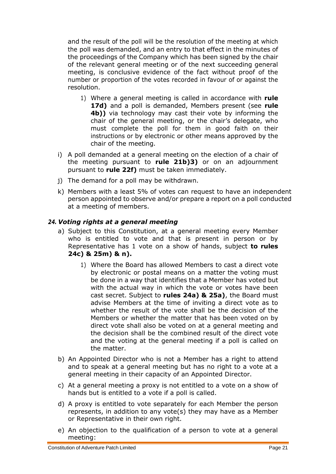and the result of the poll will be the resolution of the meeting at which the poll was demanded, and an entry to that effect in the minutes of the proceedings of the Company which has been signed by the chair of the relevant general meeting or of the next succeeding general meeting, is conclusive evidence of the fact without proof of the number or proportion of the votes recorded in favour of or against the resolution.

- 1) Where a general meeting is called in accordance with **rule 1[7d\)](#page-14-2)** and a poll is demanded, Members present (see **rule [4b\)\)](#page-4-0)** via technology may cast their vote by informing the chair of the general meeting, or the chair's delegate, who must complete the poll for them in good faith on their instructions or by electronic or other means approved by the chair of the meeting.
- <span id="page-20-2"></span>i) A poll demanded at a general meeting on the election of a chair of the meeting pursuant to **rule 2[1b\)](#page-16-4)[3\)](#page-16-6)** or on an adjournment pursuant to **rule 2[2f\)](#page-18-1)** must be taken immediately.
- j) The demand for a poll may be withdrawn.
- k) Members with a least 5% of votes can request to have an independent person appointed to observe and/or prepare a report on a poll conducted at a meeting of members.

# <span id="page-20-3"></span><span id="page-20-0"></span>*24. Voting rights at a general meeting*

- a) Subject to this Constitution, at a general meeting every Member who is entitled to vote and that is present in person or by Representative has 1 vote on a show of hands, subject **to rules 2[4c\)](#page-20-1) & 2[5m\)](#page-23-2) & [n\).](#page-23-3)**
	- 1) Where the Board has allowed Members to cast a direct vote by electronic or postal means on a matter the voting must be done in a way that identifies that a Member has voted but with the actual way in which the vote or votes have been cast secret. Subject to **rules 2[4a\)](#page-20-3) & 2[5a\)](#page-21-1)**, the Board must advise Members at the time of inviting a direct vote as to whether the result of the vote shall be the decision of the Members or whether the matter that has been voted on by direct vote shall also be voted on at a general meeting and the decision shall be the combined result of the direct vote and the voting at the general meeting if a poll is called on the matter.
- b) An Appointed Director who is not a Member has a right to attend and to speak at a general meeting but has no right to a vote at a general meeting in their capacity of an Appointed Director.
- <span id="page-20-1"></span>c) At a general meeting a proxy is not entitled to a vote on a show of hands but is entitled to a vote if a poll is called.
- d) A proxy is entitled to vote separately for each Member the person represents, in addition to any vote(s) they may have as a Member or Representative in their own right.
- <span id="page-20-4"></span>e) An objection to the qualification of a person to vote at a general meeting: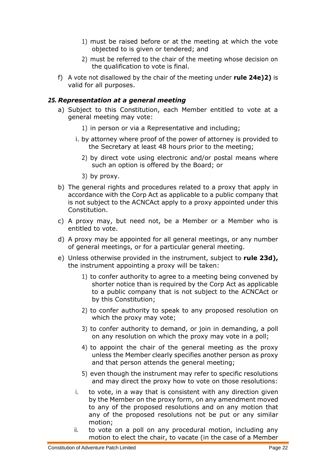- 1) must be raised before or at the meeting at which the vote objected to is given or tendered; and
- 2) must be referred to the chair of the meeting whose decision on the qualification to vote is final.
- <span id="page-21-2"></span>f) A vote not disallowed by the chair of the meeting under **rule 2[4e\)](#page-20-4)[2\)](#page-21-2)** is valid for all purposes.

# <span id="page-21-1"></span><span id="page-21-0"></span>*25. Representation at a general meeting*

- a) Subject to this Constitution, each Member entitled to vote at a general meeting may vote:
	- 1) in person or via a Representative and including;
	- i. by attorney where proof of the power of attorney is provided to the Secretary at least 48 hours prior to the meeting;
		- 2) by direct vote using electronic and/or postal means where such an option is offered by the Board; or
		- 3) by proxy.
- b) The general rights and procedures related to a proxy that apply in accordance with the Corp Act as applicable to a public company that is not subject to the ACNCAct apply to a proxy appointed under this Constitution.
- c) A proxy may, but need not, be a Member or a Member who is entitled to vote.
- d) A proxy may be appointed for all general meetings, or any number of general meetings, or for a particular general meeting.
- e) Unless otherwise provided in the instrument, subject to **rule 2[3d\),](#page-19-0)** the instrument appointing a proxy will be taken:
	- 1) to confer authority to agree to a meeting being convened by shorter notice than is required by the Corp Act as applicable to a public company that is not subject to the ACNCAct or by this Constitution;
	- 2) to confer authority to speak to any proposed resolution on which the proxy may vote;
	- 3) to confer authority to demand, or join in demanding, a poll on any resolution on which the proxy may vote in a poll;
	- 4) to appoint the chair of the general meeting as the proxy unless the Member clearly specifies another person as proxy and that person attends the general meeting;
	- 5) even though the instrument may refer to specific resolutions and may direct the proxy how to vote on those resolutions:
	- i. to vote, in a way that is consistent with any direction given by the Member on the proxy form, on any amendment moved to any of the proposed resolutions and on any motion that any of the proposed resolutions not be put or any similar motion;
	- ii. to vote on a poll on any procedural motion, including any motion to elect the chair, to vacate (in the case of a Member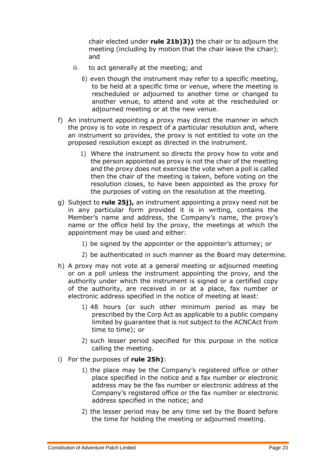chair elected under **rule 2[1b\)](#page-16-4)[3\)\)](#page-16-6)** the chair or to adjourn the meeting (including by motion that the chair leave the chair); and

- iii. to act generally at the meeting; and
	- 6) even though the instrument may refer to a specific meeting, to be held at a specific time or venue, where the meeting is rescheduled or adjourned to another time or changed to another venue, to attend and vote at the rescheduled or adjourned meeting or at the new venue.
- <span id="page-22-3"></span>f) An instrument appointing a proxy may direct the manner in which the proxy is to vote in respect of a particular resolution and, where an instrument so provides, the proxy is not entitled to vote on the proposed resolution except as directed in the instrument.
	- 1) Where the instrument so directs the proxy how to vote and the person appointed as proxy is not the chair of the meeting and the proxy does not exercise the vote when a poll is called then the chair of the meeting is taken, before voting on the resolution closes, to have been appointed as the proxy for the purposes of voting on the resolution at the meeting.
- <span id="page-22-1"></span>g) Subject to **rule 2[5j\),](#page-23-4)** an instrument appointing a proxy need not be in any particular form provided it is in writing, contains the Member's name and address, the Company's name, the proxy's name or the office held by the proxy, the meetings at which the appointment may be used and either:
	- 1) be signed by the appointer or the appointer's attorney; or
	- 2) be authenticated in such manner as the Board may determine.
- <span id="page-22-0"></span>h) A proxy may not vote at a general meeting or adjourned meeting or on a poll unless the instrument appointing the proxy, and the authority under which the instrument is signed or a certified copy of the authority, are received in or at a place, fax number or electronic address specified in the notice of meeting at least:
	- 1) 48 hours (or such other minimum period as may be prescribed by the Corp Act as applicable to a public company limited by guarantee that is not subject to the ACNCAct from time to time); or
	- 2) such lesser period specified for this purpose in the notice calling the meeting.
- <span id="page-22-2"></span>i) For the purposes of **rule 2[5h\)](#page-22-0)**:
	- 1) the place may be the Company's registered office or other place specified in the notice and a fax number or electronic address may be the fax number or electronic address at the Company's registered office or the fax number or electronic address specified in the notice; and
	- 2) the lesser period may be any time set by the Board before the time for holding the meeting or adjourned meeting.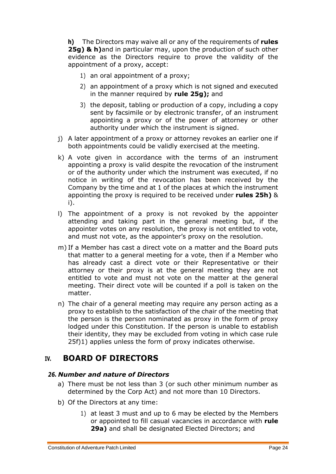<span id="page-23-4"></span>**h)** The Directors may waive all or any of the requirements of **rules 2[5g\)](#page-22-1) & h)**and in particular may, upon the production of such other evidence as the Directors require to prove the validity of the appointment of a proxy, accept:

- 1) an oral appointment of a proxy;
- 2) an appointment of a proxy which is not signed and executed in the manner required by **rule 2[5g\);](#page-22-1)** and
- 3) the deposit, tabling or production of a copy, including a copy sent by facsimile or by electronic transfer, of an instrument appointing a proxy or of the power of attorney or other authority under which the instrument is signed.
- j) A later appointment of a proxy or attorney revokes an earlier one if both appointments could be validly exercised at the meeting.
- k) A vote given in accordance with the terms of an instrument appointing a proxy is valid despite the revocation of the instrument or of the authority under which the instrument was executed, if no notice in writing of the revocation has been received by the Company by the time and at 1 of the places at which the instrument appointing the proxy is required to be received under **rules 2[5h\)](#page-22-0)** & [i\).](#page-22-2)
- <span id="page-23-2"></span>l) The appointment of a proxy is not revoked by the appointer attending and taking part in the general meeting but, if the appointer votes on any resolution, the proxy is not entitled to vote, and must not vote, as the appointer's proxy on the resolution.
- <span id="page-23-3"></span>m) If a Member has cast a direct vote on a matter and the Board puts that matter to a general meeting for a vote, then if a Member who has already cast a direct vote or their Representative or their attorney or their proxy is at the general meeting they are not entitled to vote and must not vote on the matter at the general meeting. Their direct vote will be counted if a poll is taken on the matter.
- n) The chair of a general meeting may require any person acting as a proxy to establish to the satisfaction of the chair of the meeting that the person is the person nominated as proxy in the form of proxy lodged under this Constitution. If the person is unable to establish their identity, they may be excluded from voting in which case rule 2[5f\)1\)](#page-22-3) applies unless the form of proxy indicates otherwise.

# <span id="page-23-0"></span>**IV. BOARD OF DIRECTORS**

# <span id="page-23-1"></span>*26. Number and nature of Directors*

- a) There must be not less than 3 (or such other minimum number as determined by the Corp Act) and not more than 10 Directors.
- <span id="page-23-5"></span>b) Of the Directors at any time:
	- 1) at least 3 must and up to 6 may be elected by the Members or appointed to fill casual vacancies in accordance with **rule 2[9a\)](#page-25-2)** and shall be designated Elected Directors; and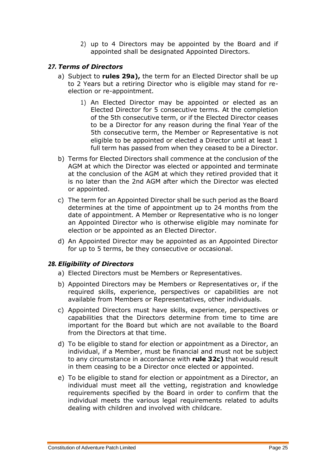2) up to 4 Directors may be appointed by the Board and if appointed shall be designated Appointed Directors.

# <span id="page-24-6"></span><span id="page-24-0"></span>*27. Terms of Directors*

- <span id="page-24-2"></span>a) Subject to **rules 2[9a\),](#page-25-2)** the term for an Elected Director shall be up to 2 Years but a retiring Director who is eligible may stand for reelection or re-appointment.
	- 1) An Elected Director may be appointed or elected as an Elected Director for 5 consecutive terms. At the completion of the 5th consecutive term, or if the Elected Director ceases to be a Director for any reason during the final Year of the 5th consecutive term, the Member or Representative is not eligible to be appointed or elected a Director until at least 1 full term has passed from when they ceased to be a Director.
- b) Terms for Elected Directors shall commence at the conclusion of the AGM at which the Director was elected or appointed and terminate at the conclusion of the AGM at which they retired provided that it is no later than the 2nd AGM after which the Director was elected or appointed.
- <span id="page-24-5"></span>c) The term for an Appointed Director shall be such period as the Board determines at the time of appointment up to 24 months from the date of appointment. A Member or Representative who is no longer an Appointed Director who is otherwise eligible may nominate for election or be appointed as an Elected Director.
- d) An Appointed Director may be appointed as an Appointed Director for up to 5 terms, be they consecutive or occasional.

# <span id="page-24-1"></span>*28. Eligibility of Directors*

- a) Elected Directors must be Members or Representatives.
- <span id="page-24-3"></span>b) Appointed Directors may be Members or Representatives or, if the required skills, experience, perspectives or capabilities are not available from Members or Representatives, other individuals.
- <span id="page-24-4"></span>c) Appointed Directors must have skills, experience, perspectives or capabilities that the Directors determine from time to time are important for the Board but which are not available to the Board from the Directors at that time.
- d) To be eligible to stand for election or appointment as a Director, an individual, if a Member, must be financial and must not be subject to any circumstance in accordance with **rule 3[2c\)](#page-27-1)** that would result in them ceasing to be a Director once elected or appointed.
- <span id="page-24-7"></span>e) To be eligible to stand for election or appointment as a Director, an individual must meet all the vetting, registration and knowledge requirements specified by the Board in order to confirm that the individual meets the various legal requirements related to adults dealing with children and involved with childcare.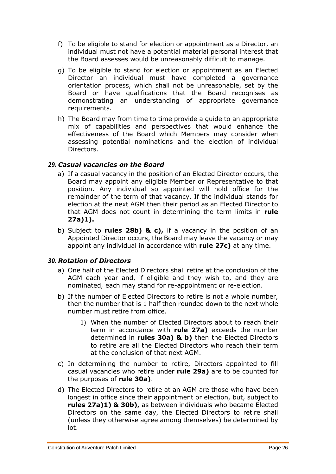- <span id="page-25-5"></span>f) To be eligible to stand for election or appointment as a Director, an individual must not have a potential material personal interest that the Board assesses would be unreasonably difficult to manage.
- <span id="page-25-6"></span>g) To be eligible to stand for election or appointment as an Elected Director an individual must have completed a governance orientation process, which shall not be unreasonable, set by the Board or have qualifications that the Board recognises as demonstrating an understanding of appropriate governance requirements.
- h) The Board may from time to time provide a guide to an appropriate mix of capabilities and perspectives that would enhance the effectiveness of the Board which Members may consider when assessing potential nominations and the election of individual Directors.

# <span id="page-25-2"></span><span id="page-25-0"></span>*29. Casual vacancies on the Board*

- a) If a casual vacancy in the position of an Elected Director occurs, the Board may appoint any eligible Member or Representative to that position. Any individual so appointed will hold office for the remainder of the term of that vacancy. If the individual stands for election at the next AGM then their period as an Elected Director to that AGM does not count in determining the term limits in **rule 2[7a\)1\).](#page-24-2)**
- b) Subject to **rules 2[8b\)](#page-24-3) & [c\),](#page-24-4)** if a vacancy in the position of an Appointed Director occurs, the Board may leave the vacancy or may appoint any individual in accordance with **rule 2[7c\)](#page-24-5)** at any time.

# <span id="page-25-3"></span><span id="page-25-1"></span>*30. Rotation of Directors*

- a) One half of the Elected Directors shall retire at the conclusion of the AGM each year and, if eligible and they wish to, and they are nominated, each may stand for re-appointment or re-election.
- <span id="page-25-4"></span>b) If the number of Elected Directors to retire is not a whole number, then the number that is 1 half then rounded down to the next whole number must retire from office.
	- 1) When the number of Elected Directors about to reach their term in accordance with **rule 2[7a\)](#page-24-6)** exceeds the number determined in **rules 3[0a\)](#page-25-3) & [b\)](#page-25-4)** then the Elected Directors to retire are all the Elected Directors who reach their term at the conclusion of that next AGM.
- c) In determining the number to retire, Directors appointed to fill casual vacancies who retire under **rule 2[9a\)](#page-25-2)** are to be counted for the purposes of **rule 3[0a\)](#page-25-3)**.
- d) The Elected Directors to retire at an AGM are those who have been longest in office since their appointment or election, but, subject to **rules 2[7a\)1\)](#page-24-2) & 3[0b\),](#page-25-4)** as between individuals who became Elected Directors on the same day, the Elected Directors to retire shall (unless they otherwise agree among themselves) be determined by lot.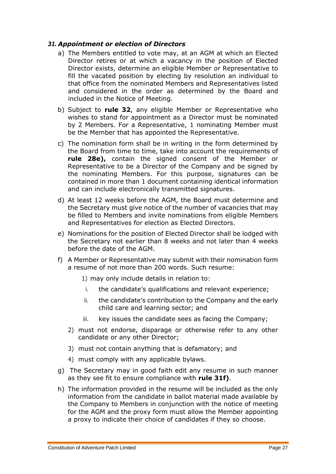#### <span id="page-26-0"></span>*31. Appointment or election of Directors*

- a) The Members entitled to vote may, at an AGM at which an Elected Director retires or at which a vacancy in the position of Elected Director exists, determine an eligible Member or Representative to fill the vacated position by electing by resolution an individual to that office from the nominated Members and Representatives listed and considered in the order as determined by the Board and included in the Notice of Meeting.
- b) Subject to **rule 32**, any eligible Member or Representative who wishes to stand for appointment as a Director must be nominated by 2 Members. For a Representative, 1 nominating Member must be the Member that has appointed the Representative.
- c) The nomination form shall be in writing in the form determined by the Board from time to time, take into account the requirements of **rule 2[8e\),](#page-24-7)** contain the signed consent of the Member or Representative to be a Director of the Company and be signed by the nominating Members. For this purpose, signatures can be contained in more than 1 document containing identical information and can include electronically transmitted signatures.
- d) At least 12 weeks before the AGM, the Board must determine and the Secretary must give notice of the number of vacancies that may be filled to Members and invite nominations from eligible Members and Representatives for election as Elected Directors.
- e) Nominations for the position of Elected Director shall be lodged with the Secretary not earlier than 8 weeks and not later than 4 weeks before the date of the AGM.
- <span id="page-26-1"></span>f) A Member or Representative may submit with their nomination form a resume of not more than 200 words. Such resume:
	- 1) may only include details in relation to:
		- i. the candidate's qualifications and relevant experience;
	- ii. the candidate's contribution to the Company and the early child care and learning sector; and
	- iii. key issues the candidate sees as facing the Company;
	- 2) must not endorse, disparage or otherwise refer to any other candidate or any other Director;
	- 3) must not contain anything that is defamatory; and
	- 4) must comply with any applicable bylaws.
- g) The Secretary may in good faith edit any resume in such manner as they see fit to ensure compliance with **rule 3[1f\)](#page-26-1)**.
- h) The information provided in the resume will be included as the only information from the candidate in ballot material made available by the Company to Members in conjunction with the notice of meeting for the AGM and the proxy form must allow the Member appointing a proxy to indicate their choice of candidates if they so choose.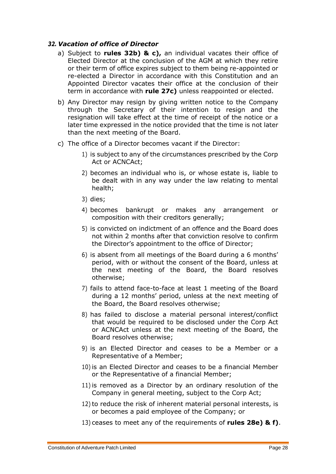#### <span id="page-27-0"></span>*32. Vacation of office of Director*

- a) Subject to **rules 3[2b\)](#page-27-2) & [c\),](#page-27-1)** an individual vacates their office of Elected Director at the conclusion of the AGM at which they retire or their term of office expires subject to them being re-appointed or re-elected a Director in accordance with this Constitution and an Appointed Director vacates their office at the conclusion of their term in accordance with **rule 2[7c\)](#page-24-5)** unless reappointed or elected.
- <span id="page-27-2"></span>b) Any Director may resign by giving written notice to the Company through the Secretary of their intention to resign and the resignation will take effect at the time of receipt of the notice or a later time expressed in the notice provided that the time is not later than the next meeting of the Board.
- <span id="page-27-4"></span><span id="page-27-3"></span><span id="page-27-1"></span>c) The office of a Director becomes vacant if the Director:
	- 1) is subject to any of the circumstances prescribed by the Corp Act or ACNCAct;
	- 2) becomes an individual who is, or whose estate is, liable to be dealt with in any way under the law relating to mental health;
	- 3) dies;
	- 4) becomes bankrupt or makes any arrangement or composition with their creditors generally;
	- 5) is convicted on indictment of an offence and the Board does not within 2 months after that conviction resolve to confirm the Director's appointment to the office of Director;
	- 6) is absent from all meetings of the Board during a 6 months' period, with or without the consent of the Board, unless at the next meeting of the Board, the Board resolves otherwise;
	- 7) fails to attend face-to-face at least 1 meeting of the Board during a 12 months' period, unless at the next meeting of the Board, the Board resolves otherwise;
	- 8) has failed to disclose a material personal interest/conflict that would be required to be disclosed under the Corp Act or ACNCAct unless at the next meeting of the Board, the Board resolves otherwise;
	- 9) is an Elected Director and ceases to be a Member or a Representative of a Member;
	- 10) is an Elected Director and ceases to be a financial Member or the Representative of a financial Member;
	- 11) is removed as a Director by an ordinary resolution of the Company in general meeting, subject to the Corp Act;
	- 12) to reduce the risk of inherent material personal interests, is or becomes a paid employee of the Company; or
	- 13) ceases to meet any of the requirements of **rules 2[8e\)](#page-24-7) & [f\)](#page-25-5)**.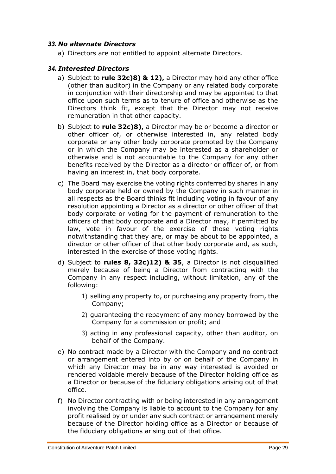# <span id="page-28-0"></span>*33. No alternate Directors*

a) Directors are not entitled to appoint alternate Directors.

#### <span id="page-28-1"></span>*34. Interested Directors*

- a) Subject to **rule 3[2c\)](#page-27-1)[8\)](#page-27-3) & [12\),](#page-27-4)** a Director may hold any other office (other than auditor) in the Company or any related body corporate in conjunction with their directorship and may be appointed to that office upon such terms as to tenure of office and otherwise as the Directors think fit, except that the Director may not receive remuneration in that other capacity.
- b) Subject to **rule 3[2c\)](#page-27-1)[8\),](#page-27-3)** a Director may be or become a director or other officer of, or otherwise interested in, any related body corporate or any other body corporate promoted by the Company or in which the Company may be interested as a shareholder or otherwise and is not accountable to the Company for any other benefits received by the Director as a director or officer of, or from having an interest in, that body corporate.
- c) The Board may exercise the voting rights conferred by shares in any body corporate held or owned by the Company in such manner in all respects as the Board thinks fit including voting in favour of any resolution appointing a Director as a director or other officer of that body corporate or voting for the payment of remuneration to the officers of that body corporate and a Director may, if permitted by law, vote in favour of the exercise of those voting rights notwithstanding that they are, or may be about to be appointed, a director or other officer of that other body corporate and, as such, interested in the exercise of those voting rights.
- <span id="page-28-2"></span>d) Subject to **rules 8, 3[2c\)](#page-27-1)[12\)](#page-27-4) & 35**, a Director is not disqualified merely because of being a Director from contracting with the Company in any respect including, without limitation, any of the following:
	- 1) selling any property to, or purchasing any property from, the Company;
	- 2) guaranteeing the repayment of any money borrowed by the Company for a commission or profit; and
	- 3) acting in any professional capacity, other than auditor, on behalf of the Company.
- <span id="page-28-3"></span>e) No contract made by a Director with the Company and no contract or arrangement entered into by or on behalf of the Company in which any Director may be in any way interested is avoided or rendered voidable merely because of the Director holding office as a Director or because of the fiduciary obligations arising out of that office.
- f) No Director contracting with or being interested in any arrangement involving the Company is liable to account to the Company for any profit realised by or under any such contract or arrangement merely because of the Director holding office as a Director or because of the fiduciary obligations arising out of that office.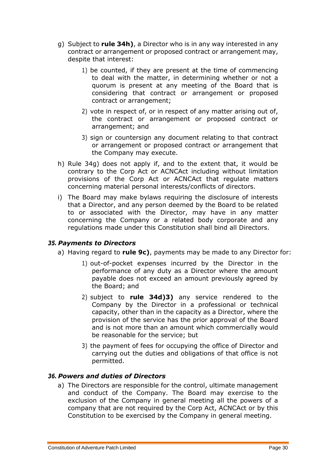- <span id="page-29-3"></span>g) Subject to **rule 3[4h\)](#page-29-2)**, a Director who is in any way interested in any contract or arrangement or proposed contract or arrangement may, despite that interest:
	- 1) be counted, if they are present at the time of commencing to deal with the matter, in determining whether or not a quorum is present at any meeting of the Board that is considering that contract or arrangement or proposed contract or arrangement;
	- 2) vote in respect of, or in respect of any matter arising out of, the contract or arrangement or proposed contract or arrangement; and
	- 3) sign or countersign any document relating to that contract or arrangement or proposed contract or arrangement that the Company may execute.
- <span id="page-29-2"></span>h) Rule 3[4g\)](#page-29-3) does not apply if, and to the extent that, it would be contrary to the Corp Act or ACNCAct including without limitation provisions of the Corp Act or ACNCAct that regulate matters concerning material personal interests/conflicts of directors.
- i) The Board may make bylaws requiring the disclosure of interests that a Director, and any person deemed by the Board to be related to or associated with the Director, may have in any matter concerning the Company or a related body corporate and any regulations made under this Constitution shall bind all Directors.

# <span id="page-29-0"></span>*35. Payments to Directors*

- a) Having regard to **rule [9c\)](#page-7-4)**, payments may be made to any Director for:
	- 1) out-of-pocket expenses incurred by the Director in the performance of any duty as a Director where the amount payable does not exceed an amount previously agreed by the Board; and
	- 2) subject to **rule 3[4d\)](#page-28-2)[3\)](#page-28-3)** any service rendered to the Company by the Director in a professional or technical capacity, other than in the capacity as a Director, where the provision of the service has the prior approval of the Board and is not more than an amount which commercially would be reasonable for the service; but
	- 3) the payment of fees for occupying the office of Director and carrying out the duties and obligations of that office is not permitted.

# <span id="page-29-4"></span><span id="page-29-1"></span>*36. Powers and duties of Directors*

a) The Directors are responsible for the control, ultimate management and conduct of the Company. The Board may exercise to the exclusion of the Company in general meeting all the powers of a company that are not required by the Corp Act, ACNCAct or by this Constitution to be exercised by the Company in general meeting.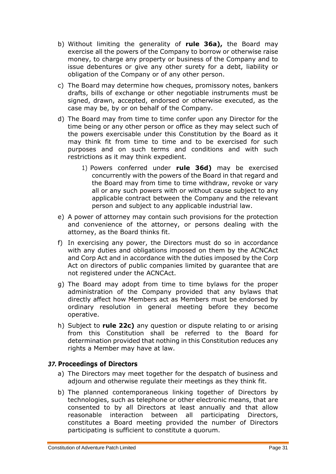- b) Without limiting the generality of **rule 3[6a\),](#page-29-4)** the Board may exercise all the powers of the Company to borrow or otherwise raise money, to charge any property or business of the Company and to issue debentures or give any other surety for a debt, liability or obligation of the Company or of any other person.
- c) The Board may determine how cheques, promissory notes, bankers drafts, bills of exchange or other negotiable instruments must be signed, drawn, accepted, endorsed or otherwise executed, as the case may be, by or on behalf of the Company.
- <span id="page-30-1"></span>d) The Board may from time to time confer upon any Director for the time being or any other person or office as they may select such of the powers exercisable under this Constitution by the Board as it may think fit from time to time and to be exercised for such purposes and on such terms and conditions and with such restrictions as it may think expedient.
	- 1) Powers conferred under **rule 3[6d\)](#page-30-1)** may be exercised concurrently with the powers of the Board in that regard and the Board may from time to time withdraw, revoke or vary all or any such powers with or without cause subject to any applicable contract between the Company and the relevant person and subject to any applicable industrial law.
- e) A power of attorney may contain such provisions for the protection and convenience of the attorney, or persons dealing with the attorney, as the Board thinks fit.
- f) In exercising any power, the Directors must do so in accordance with any duties and obligations imposed on them by the ACNCAct and Corp Act and in accordance with the duties imposed by the Corp Act on directors of public companies limited by guarantee that are not registered under the ACNCAct.
- g) The Board may adopt from time to time bylaws for the proper administration of the Company provided that any bylaws that directly affect how Members act as Members must be endorsed by ordinary resolution in general meeting before they become operative.
- h) Subject to **rule 2[2c\)](#page-17-4)** any question or dispute relating to or arising from this Constitution shall be referred to the Board for determination provided that nothing in this Constitution reduces any rights a Member may have at law.

# <span id="page-30-0"></span>*37.* **Proceedings of Directors**

- a) The Directors may meet together for the despatch of business and adjourn and otherwise regulate their meetings as they think fit.
- <span id="page-30-2"></span>b) The planned contemporaneous linking together of Directors by technologies, such as telephone or other electronic means, that are consented to by all Directors at least annually and that allow reasonable interaction between all participating Directors, constitutes a Board meeting provided the number of Directors participating is sufficient to constitute a quorum.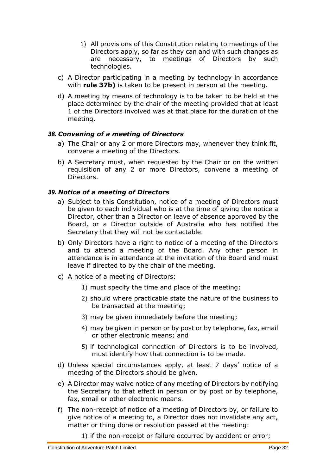- 1) All provisions of this Constitution relating to meetings of the Directors apply, so far as they can and with such changes as are necessary, to meetings of Directors by such technologies.
- c) A Director participating in a meeting by technology in accordance with **rule 3[7b\)](#page-30-2)** is taken to be present in person at the meeting.
- d) A meeting by means of technology is to be taken to be held at the place determined by the chair of the meeting provided that at least 1 of the Directors involved was at that place for the duration of the meeting.

# <span id="page-31-0"></span>*38. Convening of a meeting of Directors*

- a) The Chair or any 2 or more Directors may, whenever they think fit, convene a meeting of the Directors.
- b) A Secretary must, when requested by the Chair or on the written requisition of any 2 or more Directors, convene a meeting of Directors.

# <span id="page-31-1"></span>*39. Notice of a meeting of Directors*

- a) Subject to this Constitution, notice of a meeting of Directors must be given to each individual who is at the time of giving the notice a Director, other than a Director on leave of absence approved by the Board, or a Director outside of Australia who has notified the Secretary that they will not be contactable.
- b) Only Directors have a right to notice of a meeting of the Directors and to attend a meeting of the Board. Any other person in attendance is in attendance at the invitation of the Board and must leave if directed to by the chair of the meeting.
- c) A notice of a meeting of Directors:
	- 1) must specify the time and place of the meeting;
	- 2) should where practicable state the nature of the business to be transacted at the meeting;
	- 3) may be given immediately before the meeting;
	- 4) may be given in person or by post or by telephone, fax, email or other electronic means; and
	- 5) if technological connection of Directors is to be involved, must identify how that connection is to be made.
- d) Unless special circumstances apply, at least 7 days' notice of a meeting of the Directors should be given.
- <span id="page-31-2"></span>e) A Director may waive notice of any meeting of Directors by notifying the Secretary to that effect in person or by post or by telephone, fax, email or other electronic means.
- f) The non-receipt of notice of a meeting of Directors by, or failure to give notice of a meeting to, a Director does not invalidate any act, matter or thing done or resolution passed at the meeting:

1) if the non-receipt or failure occurred by accident or error;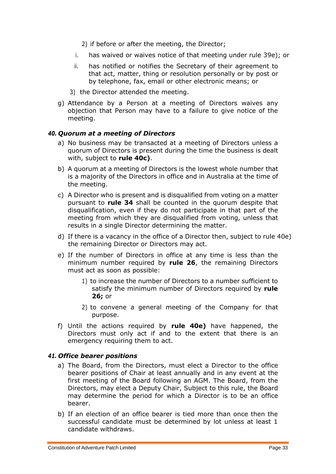- 2) if before or after the meeting, the Director;
- i. has waived or waives notice of that meeting under rule 3[9e\);](#page-31-2) or
- ii. has notified or notifies the Secretary of their agreement to that act, matter, thing or resolution personally or by post or by telephone, fax, email or other electronic means; or
- 3) the Director attended the meeting.
- g) Attendance by a Person at a meeting of Directors waives any objection that Person may have to a failure to give notice of the meeting.

# <span id="page-32-0"></span>*40. Quorum at a meeting of Directors*

- a) No business may be transacted at a meeting of Directors unless a quorum of Directors is present during the time the business is dealt with, subject to **rule 4[0c\)](#page-32-2)**.
- b) A quorum at a meeting of Directors is the lowest whole number that is a majority of the Directors in office and in Australia at the time of the meeting.
- <span id="page-32-2"></span>c) A Director who is present and is disqualified from voting on a matter pursuant to **rule 34** shall be counted in the quorum despite that disqualification, even if they do not participate in that part of the meeting from which they are disqualified from voting, unless that results in a single Director determining the matter.
- d) If there is a vacancy in the office of a Director then, subject to rule 4[0e\)](#page-32-3) the remaining Director or Directors may act.
- <span id="page-32-3"></span>e) If the number of Directors in office at any time is less than the minimum number required by **rule 26**, the remaining Directors must act as soon as possible:
	- 1) to increase the number of Directors to a number sufficient to satisfy the minimum number of Directors required by **rule 26;** or
	- 2) to convene a general meeting of the Company for that purpose.
- f) Until the actions required by **rule 4[0e\)](#page-32-3)** have happened, the Directors must only act if and to the extent that there is an emergency requiring them to act.

# <span id="page-32-4"></span><span id="page-32-1"></span>*41. Office bearer positions*

- a) The Board, from the Directors, must elect a Director to the office bearer positions of Chair at least annually and in any event at the first meeting of the Board following an AGM. The Board, from the Directors, may elect a Deputy Chair, Subject to this rule, the Board may determine the period for which a Director is to be an office bearer.
- b) If an election of an office bearer is tied more than once then the successful candidate must be determined by lot unless at least 1 candidate withdraws.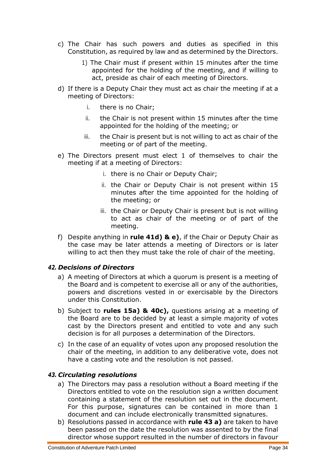- c) The Chair has such powers and duties as specified in this Constitution, as required by law and as determined by the Directors.
	- 1) The Chair must if present within 15 minutes after the time appointed for the holding of the meeting, and if willing to act, preside as chair of each meeting of Directors.
- <span id="page-33-2"></span>d) If there is a Deputy Chair they must act as chair the meeting if at a meeting of Directors:
	- i. there is no Chair;
	- ii. the Chair is not present within 15 minutes after the time appointed for the holding of the meeting; or
	- iii. the Chair is present but is not willing to act as chair of the meeting or of part of the meeting.
- <span id="page-33-3"></span>e) The Directors present must elect 1 of themselves to chair the meeting if at a meeting of Directors:
	- i. there is no Chair or Deputy Chair;
	- ii. the Chair or Deputy Chair is not present within 15 minutes after the time appointed for the holding of the meeting; or
	- iii. the Chair or Deputy Chair is present but is not willing to act as chair of the meeting or of part of the meeting.
- f) Despite anything in **rule 4[1d\)](#page-33-2) & [e\)](#page-33-3)**, if the Chair or Deputy Chair as the case may be later attends a meeting of Directors or is later willing to act then they must take the role of chair of the meeting.

# <span id="page-33-0"></span>*42. Decisions of Directors*

- a) A meeting of Directors at which a quorum is present is a meeting of the Board and is competent to exercise all or any of the authorities, powers and discretions vested in or exercisable by the Directors under this Constitution.
- b) Subject to **rules 1[5a\)](#page-11-1) & 4[0c\),](#page-32-2)** questions arising at a meeting of the Board are to be decided by at least a simple majority of votes cast by the Directors present and entitled to vote and any such decision is for all purposes a determination of the Directors.
- c) In the case of an equality of votes upon any proposed resolution the chair of the meeting, in addition to any deliberative vote, does not have a casting vote and the resolution is not passed.

# <span id="page-33-4"></span><span id="page-33-1"></span>*43. Circulating resolutions*

- a) The Directors may pass a resolution without a Board meeting if the Directors entitled to vote on the resolution sign a written document containing a statement of the resolution set out in the document. For this purpose, signatures can be contained in more than 1 document and can include electronically transmitted signatures.
- b) Resolutions passed in accordance with **rule 43 a)** are taken to have been passed on the date the resolution was assented to by the final director whose support resulted in the number of directors in favour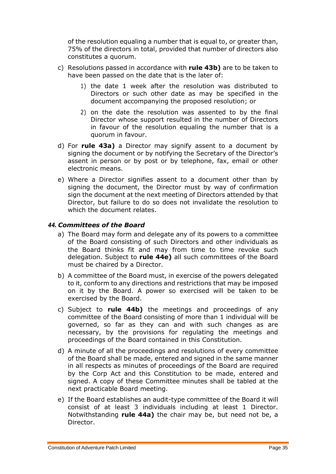of the resolution equaling a number that is equal to, or greater than, 75% of the directors in total, provided that number of directors also constitutes a quorum.

- <span id="page-34-1"></span>c) Resolutions passed in accordance with **rule 4[3b\)](#page-34-1)** are to be taken to have been passed on the date that is the later of:
	- 1) the date 1 week after the resolution was distributed to Directors or such other date as may be specified in the document accompanying the proposed resolution; or
	- 2) on the date the resolution was assented to by the final Director whose support resulted in the number of Directors in favour of the resolution equaling the number that is a quorum in favour.
- d) For **rule 4[3a\)](#page-33-4)** a Director may signify assent to a document by signing the document or by notifying the Secretary of the Director's assent in person or by post or by telephone, fax, email or other electronic means.
- e) Where a Director signifies assent to a document other than by signing the document, the Director must by way of confirmation sign the document at the next meeting of Directors attended by that Director, but failure to do so does not invalidate the resolution to which the document relates.

# <span id="page-34-4"></span><span id="page-34-0"></span>*44. Committees of the Board*

- a) The Board may form and delegate any of its powers to a committee of the Board consisting of such Directors and other individuals as the Board thinks fit and may from time to time revoke such delegation. Subject to **rule 4[4e\)](#page-34-2)** all such committees of the Board must be chaired by a Director.
- <span id="page-34-3"></span>b) A committee of the Board must, in exercise of the powers delegated to it, conform to any directions and restrictions that may be imposed on it by the Board. A power so exercised will be taken to be exercised by the Board.
- c) Subject to **rule 4[4b\)](#page-34-3)** the meetings and proceedings of any committee of the Board consisting of more than 1 individual will be governed, so far as they can and with such changes as are necessary, by the provisions for regulating the meetings and proceedings of the Board contained in this Constitution.
- d) A minute of all the proceedings and resolutions of every committee of the Board shall be made, entered and signed in the same manner in all respects as minutes of proceedings of the Board are required by the Corp Act and this Constitution to be made, entered and signed. A copy of these Committee minutes shall be tabled at the next practicable Board meeting.
- <span id="page-34-2"></span>e) If the Board establishes an audit-type committee of the Board it will consist of at least 3 individuals including at least 1 Director. Notwithstanding **rule 4[4a\)](#page-34-4)** the chair may be, but need not be, a Director.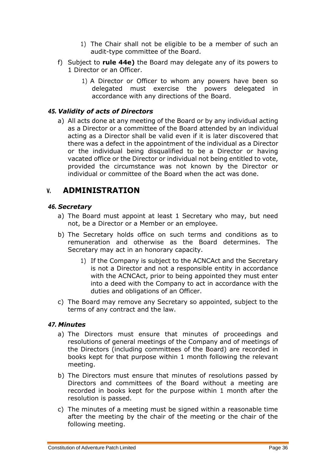- 1) The Chair shall not be eligible to be a member of such an audit-type committee of the Board.
- f) Subject to **rule 4[4e\)](#page-34-2)** the Board may delegate any of its powers to 1 Director or an Officer.
	- 1) A Director or Officer to whom any powers have been so delegated must exercise the powers delegated in accordance with any directions of the Board.

# <span id="page-35-0"></span>*45. Validity of acts of Directors*

a) All acts done at any meeting of the Board or by any individual acting as a Director or a committee of the Board attended by an individual acting as a Director shall be valid even if it is later discovered that there was a defect in the appointment of the individual as a Director or the individual being disqualified to be a Director or having vacated office or the Director or individual not being entitled to vote, provided the circumstance was not known by the Director or individual or committee of the Board when the act was done.

# <span id="page-35-1"></span>**V. ADMINISTRATION**

# <span id="page-35-2"></span>*46. Secretary*

- a) The Board must appoint at least 1 Secretary who may, but need not, be a Director or a Member or an employee.
- b) The Secretary holds office on such terms and conditions as to remuneration and otherwise as the Board determines. The Secretary may act in an honorary capacity.
	- 1) If the Company is subject to the ACNCAct and the Secretary is not a Director and not a responsible entity in accordance with the ACNCAct, prior to being appointed they must enter into a deed with the Company to act in accordance with the duties and obligations of an Officer.
- c) The Board may remove any Secretary so appointed, subject to the terms of any contract and the law.

# <span id="page-35-3"></span>*47. Minutes*

- a) The Directors must ensure that minutes of proceedings and resolutions of general meetings of the Company and of meetings of the Directors (including committees of the Board) are recorded in books kept for that purpose within 1 month following the relevant meeting.
- b) The Directors must ensure that minutes of resolutions passed by Directors and committees of the Board without a meeting are recorded in books kept for the purpose within 1 month after the resolution is passed.
- c) The minutes of a meeting must be signed within a reasonable time after the meeting by the chair of the meeting or the chair of the following meeting.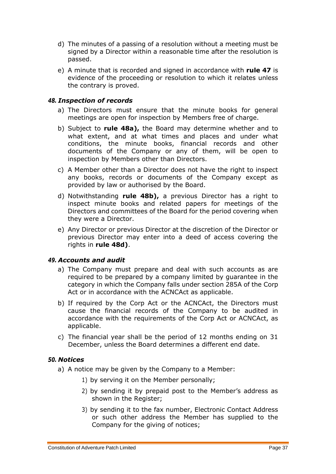- d) The minutes of a passing of a resolution without a meeting must be signed by a Director within a reasonable time after the resolution is passed.
- e) A minute that is recorded and signed in accordance with **rule 47** is evidence of the proceeding or resolution to which it relates unless the contrary is proved.

# <span id="page-36-3"></span><span id="page-36-0"></span>*48. Inspection of records*

- a) The Directors must ensure that the minute books for general meetings are open for inspection by Members free of charge.
- <span id="page-36-4"></span>b) Subject to **rule 4[8a\),](#page-36-3)** the Board may determine whether and to what extent, and at what times and places and under what conditions, the minute books, financial records and other documents of the Company or any of them, will be open to inspection by Members other than Directors.
- c) A Member other than a Director does not have the right to inspect any books, records or documents of the Company except as provided by law or authorised by the Board.
- <span id="page-36-5"></span>d) Notwithstanding **rule 4[8b\),](#page-36-4)** a previous Director has a right to inspect minute books and related papers for meetings of the Directors and committees of the Board for the period covering when they were a Director.
- e) Any Director or previous Director at the discretion of the Director or previous Director may enter into a deed of access covering the rights in **rule 4[8d\)](#page-36-5)**.

# <span id="page-36-1"></span>*49. Accounts and audit*

- a) The Company must prepare and deal with such accounts as are required to be prepared by a company limited by guarantee in the category in which the Company falls under section 285A of the Corp Act or in accordance with the ACNCAct as applicable.
- b) If required by the Corp Act or the ACNCAct, the Directors must cause the financial records of the Company to be audited in accordance with the requirements of the Corp Act or ACNCAct, as applicable.
- c) The financial year shall be the period of 12 months ending on 31 December, unless the Board determines a different end date.

# <span id="page-36-6"></span><span id="page-36-2"></span>*50. Notices*

- a) A notice may be given by the Company to a Member:
	- 1) by serving it on the Member personally;
	- 2) by sending it by prepaid post to the Member's address as shown in the Register;
	- 3) by sending it to the fax number, Electronic Contact Address or such other address the Member has supplied to the Company for the giving of notices;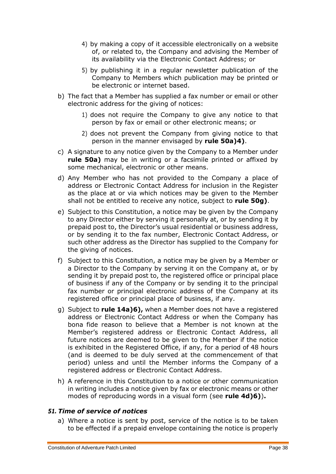- <span id="page-37-1"></span>4) by making a copy of it accessible electronically on a website of, or related to, the Company and advising the Member of its availability via the Electronic Contact Address; or
- 5) by publishing it in a regular newsletter publication of the Company to Members which publication may be printed or be electronic or internet based.
- <span id="page-37-3"></span>b) The fact that a Member has supplied a fax number or email or other electronic address for the giving of notices:
	- 1) does not require the Company to give any notice to that person by fax or email or other electronic means; or
	- 2) does not prevent the Company from giving notice to that person in the manner envisaged by **rule 5[0a\)](#page-36-6)[4\)](#page-37-1)**.
- c) A signature to any notice given by the Company to a Member under **rule 5[0a\)](#page-36-6)** may be in writing or a facsimile printed or affixed by some mechanical, electronic or other means.
- d) Any Member who has not provided to the Company a place of address or Electronic Contact Address for inclusion in the Register as the place at or via which notices may be given to the Member shall not be entitled to receive any notice, subject to **rule 5[0g\)](#page-37-2)**.
- e) Subject to this Constitution, a notice may be given by the Company to any Director either by serving it personally at, or by sending it by prepaid post to, the Director's usual residential or business address, or by sending it to the fax number, Electronic Contact Address, or such other address as the Director has supplied to the Company for the giving of notices.
- f) Subject to this Constitution, a notice may be given by a Member or a Director to the Company by serving it on the Company at, or by sending it by prepaid post to, the registered office or principal place of business if any of the Company or by sending it to the principal fax number or principal electronic address of the Company at its registered office or principal place of business, if any.
- <span id="page-37-2"></span>g) Subject to **rule 1[4a\)](#page-10-2)[6\),](#page-10-5)** when a Member does not have a registered address or Electronic Contact Address or when the Company has bona fide reason to believe that a Member is not known at the Member's registered address or Electronic Contact Address, all future notices are deemed to be given to the Member if the notice is exhibited in the Registered Office, if any, for a period of 48 hours (and is deemed to be duly served at the commencement of that period) unless and until the Member informs the Company of a registered address or Electronic Contact Address.
- h) A reference in this Constitution to a notice or other communication in writing includes a notice given by fax or electronic means or other modes of reproducing words in a visual form (see **rule [4d\)](#page-5-2)[6\)](#page-5-3)**)**.**

# <span id="page-37-0"></span>*51. Time of service of notices*

a) Where a notice is sent by post, service of the notice is to be taken to be effected if a prepaid envelope containing the notice is properly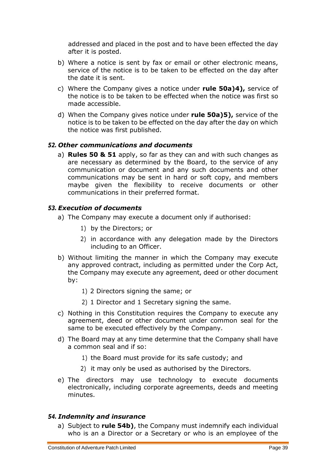addressed and placed in the post and to have been effected the day after it is posted.

- b) Where a notice is sent by fax or email or other electronic means, service of the notice is to be taken to be effected on the day after the date it is sent.
- c) Where the Company gives a notice under **rule 5[0a\)](#page-36-6)[4\),](#page-37-1)** service of the notice is to be taken to be effected when the notice was first so made accessible.
- d) When the Company gives notice under **rule 5[0a\)](#page-36-6)[5\),](#page-37-3)** service of the notice is to be taken to be effected on the day after the day on which the notice was first published.

# <span id="page-38-0"></span>*52. Other communications and documents*

a) **Rules 50 & 51** apply, so far as they can and with such changes as are necessary as determined by the Board, to the service of any communication or document and any such documents and other communications may be sent in hard or soft copy, and members maybe given the flexibility to receive documents or other communications in their preferred format.

# <span id="page-38-1"></span>*53. Execution of documents*

- a) The Company may execute a document only if authorised:
	- 1) by the Directors; or
	- 2) in accordance with any delegation made by the Directors including to an Officer.
- b) Without limiting the manner in which the Company may execute any approved contract, including as permitted under the Corp Act, the Company may execute any agreement, deed or other document by:
	- 1) 2 Directors signing the same; or
	- 2) 1 Director and 1 Secretary signing the same.
- c) Nothing in this Constitution requires the Company to execute any agreement, deed or other document under common seal for the same to be executed effectively by the Company.
- d) The Board may at any time determine that the Company shall have a common seal and if so:
	- 1) the Board must provide for its safe custody; and
	- 2) it may only be used as authorised by the Directors.
- e) The directors may use technology to execute documents electronically, including corporate agreements, deeds and meeting minutes.

# <span id="page-38-3"></span><span id="page-38-2"></span>*54. Indemnity and insurance*

a) Subject to **rule 5[4b\)](#page-39-0)**, the Company must indemnify each individual who is an a Director or a Secretary or who is an employee of the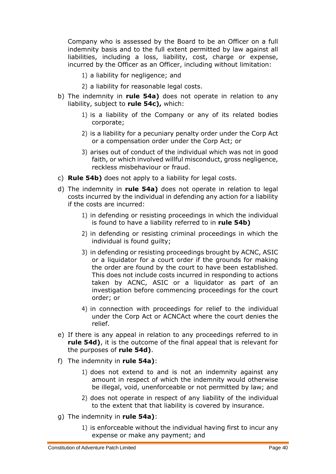Company who is assessed by the Board to be an Officer on a full indemnity basis and to the full extent permitted by law against all liabilities, including a loss, liability, cost, charge or expense, incurred by the Officer as an Officer, including without limitation:

- 1) a liability for negligence; and
- 2) a liability for reasonable legal costs.
- <span id="page-39-0"></span>b) The indemnity in **rule 5[4a\)](#page-38-3)** does not operate in relation to any liability, subject to **rule 5[4c\),](#page-39-1)** which:
	- 1) is a liability of the Company or any of its related bodies corporate;
	- 2) is a liability for a pecuniary penalty order under the Corp Act or a compensation order under the Corp Act; or
	- 3) arises out of conduct of the individual which was not in good faith, or which involved willful misconduct, gross negligence, reckless misbehaviour or fraud.
- <span id="page-39-1"></span>c) **Rule 5[4b\)](#page-39-0)** does not apply to a liability for legal costs.
- <span id="page-39-2"></span>d) The indemnity in **rule 5[4a\)](#page-38-3)** does not operate in relation to legal costs incurred by the individual in defending any action for a liability if the costs are incurred:
	- 1) in defending or resisting proceedings in which the individual is found to have a liability referred to in **rule 5[4b\)](#page-39-0)**
	- 2) in defending or resisting criminal proceedings in which the individual is found guilty;
	- 3) in defending or resisting proceedings brought by ACNC, ASIC or a liquidator for a court order if the grounds for making the order are found by the court to have been established. This does not include costs incurred in responding to actions taken by ACNC, ASIC or a liquidator as part of an investigation before commencing proceedings for the court order; or
	- 4) in connection with proceedings for relief to the individual under the Corp Act or ACNCAct where the court denies the relief.
- e) If there is any appeal in relation to any proceedings referred to in **rule 5[4d\)](#page-39-2)**, it is the outcome of the final appeal that is relevant for the purposes of **rule 5[4d\)](#page-39-2)**.
- f) The indemnity in **rule 5[4a\)](#page-38-3)**:
	- 1) does not extend to and is not an indemnity against any amount in respect of which the indemnity would otherwise be illegal, void, unenforceable or not permitted by law; and
	- 2) does not operate in respect of any liability of the individual to the extent that that liability is covered by insurance.
- g) The indemnity in **rule 5[4a\)](#page-38-3)**:
	- 1) is enforceable without the individual having first to incur any expense or make any payment; and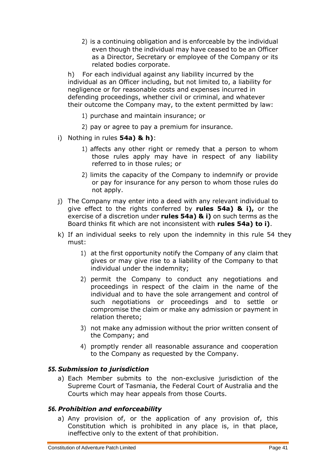2) is a continuing obligation and is enforceable by the individual even though the individual may have ceased to be an Officer as a Director, Secretary or employee of the Company or its related bodies corporate.

<span id="page-40-2"></span>h) For each individual against any liability incurred by the individual as an Officer including, but not limited to, a liability for negligence or for reasonable costs and expenses incurred in defending proceedings, whether civil or criminal, and whatever their outcome the Company may, to the extent permitted by law:

- 1) purchase and maintain insurance; or
- 2) pay or agree to pay a premium for insurance.
- <span id="page-40-3"></span>i) Nothing in rules **5[4a\)](#page-38-3) & [h\)](#page-40-2)**:
	- 1) affects any other right or remedy that a person to whom those rules apply may have in respect of any liability referred to in those rules; or
	- 2) limits the capacity of the Company to indemnify or provide or pay for insurance for any person to whom those rules do not apply.
- j) The Company may enter into a deed with any relevant individual to give effect to the rights conferred by **rules 5[4a\)](#page-38-3) & [i\),](#page-40-3)** or the exercise of a discretion under **rules 5[4a\)](#page-38-3) & [i\)](#page-40-3)** on such terms as the Board thinks fit which are not inconsistent with **rules 5[4a\)](#page-38-3) to [i\)](#page-40-3)**.
- k) If an individual seeks to rely upon the indemnity in this rule 54 they must:
	- 1) at the first opportunity notify the Company of any claim that gives or may give rise to a liability of the Company to that individual under the indemnity;
	- 2) permit the Company to conduct any negotiations and proceedings in respect of the claim in the name of the individual and to have the sole arrangement and control of such negotiations or proceedings and to settle or compromise the claim or make any admission or payment in relation thereto;
	- 3) not make any admission without the prior written consent of the Company; and
	- 4) promptly render all reasonable assurance and cooperation to the Company as requested by the Company.

# <span id="page-40-0"></span>*55. Submission to jurisdiction*

a) Each Member submits to the non-exclusive jurisdiction of the Supreme Court of Tasmania, the Federal Court of Australia and the Courts which may hear appeals from those Courts.

#### <span id="page-40-1"></span>*56. Prohibition and enforceability*

a) Any provision of, or the application of any provision of, this Constitution which is prohibited in any place is, in that place, ineffective only to the extent of that prohibition.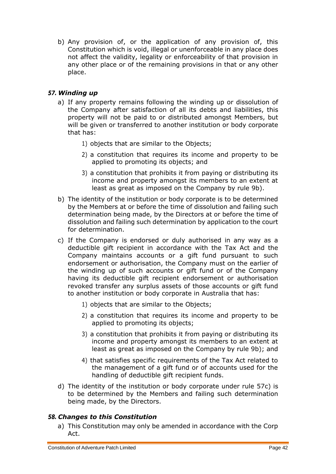b) Any provision of, or the application of any provision of, this Constitution which is void, illegal or unenforceable in any place does not affect the validity, legality or enforceability of that provision in any other place or of the remaining provisions in that or any other place.

# <span id="page-41-0"></span>*57. Winding up*

- a) If any property remains following the winding up or dissolution of the Company after satisfaction of all its debts and liabilities, this property will not be paid to or distributed amongst Members, but will be given or transferred to another institution or body corporate that has:
	- 1) objects that are similar to the Objects;
	- 2) a constitution that requires its income and property to be applied to promoting its objects; and
	- 3) a constitution that prohibits it from paying or distributing its income and property amongst its members to an extent at least as great as imposed on the Company by rule [9b\).](#page-7-5)
- b) The identity of the institution or body corporate is to be determined by the Members at or before the time of dissolution and failing such determination being made, by the Directors at or before the time of dissolution and failing such determination by application to the court for determination.
- <span id="page-41-2"></span>c) If the Company is endorsed or duly authorised in any way as a deductible gift recipient in accordance with the Tax Act and the Company maintains accounts or a gift fund pursuant to such endorsement or authorisation, the Company must on the earlier of the winding up of such accounts or gift fund or of the Company having its deductible gift recipient endorsement or authorisation revoked transfer any surplus assets of those accounts or gift fund to another institution or body corporate in Australia that has:
	- 1) objects that are similar to the Objects;
	- 2) a constitution that requires its income and property to be applied to promoting its objects;
	- 3) a constitution that prohibits it from paying or distributing its income and property amongst its members to an extent at least as great as imposed on the Company by rule [9b\);](#page-7-5) and
	- 4) that satisfies specific requirements of the Tax Act related to the management of a gift fund or of accounts used for the handling of deductible gift recipient funds.
- d) The identity of the institution or body corporate under rule 5[7c\)](#page-41-2) is to be determined by the Members and failing such determination being made, by the Directors.

# <span id="page-41-1"></span>*58. Changes to this Constitution*

a) This Constitution may only be amended in accordance with the Corp Act.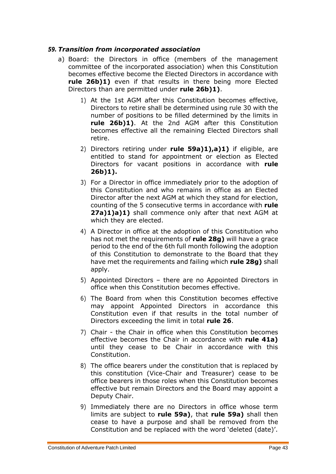#### <span id="page-42-2"></span><span id="page-42-0"></span>*59. Transition from incorporated association*

- <span id="page-42-1"></span>a) Board: the Directors in office (members of the management committee of the incorporated association) when this Constitution becomes effective become the Elected Directors in accordance with **rule 2[6b\)1\)](#page-23-5)** even if that results in there being more Elected Directors than are permitted under **rule 2[6b\)1\)](#page-23-5)**.
	- 1) At the 1st AGM after this Constitution becomes effective, Directors to retire shall be determined using rule 30 with the number of positions to be filled determined by the limits in **rule 2[6b\)1\)](#page-23-5)**. At the 2nd AGM after this Constitution becomes effective all the remaining Elected Directors shall retire.
	- 2) Directors retiring under **rule 5[9a\)1\),a\)1\)](#page-42-1)** if eligible, are entitled to stand for appointment or election as Elected Directors for vacant positions in accordance with **rule 2[6b\)1\).](#page-23-5)**
	- 3) For a Director in office immediately prior to the adoption of this Constitution and who remains in office as an Elected Director after the next AGM at which they stand for election, counting of the 5 consecutive terms in accordance with **rule 2[7a\)1\)a\)1\)](#page-24-2)** shall commence only after that next AGM at which they are elected.
	- 4) A Director in office at the adoption of this Constitution who has not met the requirements of **rule 2[8g\)](#page-25-6)** will have a grace period to the end of the 6th full month following the adoption of this Constitution to demonstrate to the Board that they have met the requirements and failing which **rule 2[8g\)](#page-25-6)** shall apply.
	- 5) Appointed Directors there are no Appointed Directors in office when this Constitution becomes effective.
	- 6) The Board from when this Constitution becomes effective may appoint Appointed Directors in accordance this Constitution even if that results in the total number of Directors exceeding the limit in total **rule 26**.
	- 7) Chair the Chair in office when this Constitution becomes effective becomes the Chair in accordance with **rule 4[1a\)](#page-32-4)** until they cease to be Chair in accordance with this Constitution.
	- 8) The office bearers under the constitution that is replaced by this constitution (Vice-Chair and Treasurer) cease to be office bearers in those roles when this Constitution becomes effective but remain Directors and the Board may appoint a Deputy Chair.
	- 9) Immediately there are no Directors in office whose term limits are subject to **rule 5[9a\)](#page-42-2)**, that **rule 5[9a\)](#page-42-2)** shall then cease to have a purpose and shall be removed from the Constitution and be replaced with the word 'deleted (date)'.